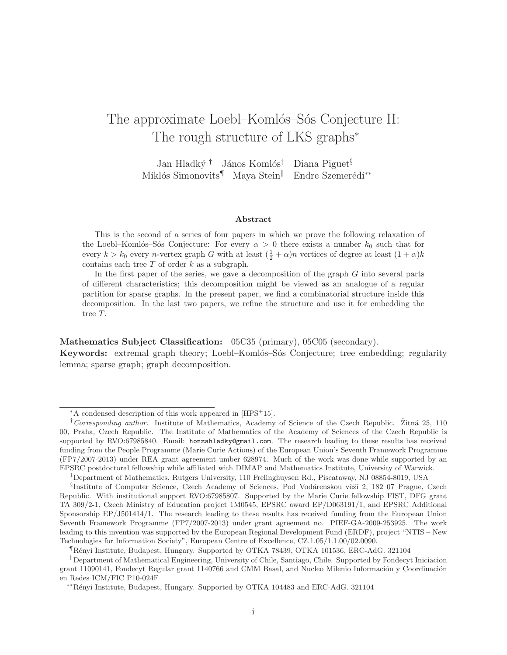# The approximate Loebl–Komlós–Sós Conjecture II: The rough structure of LKS graphs<sup>\*</sup>

Jan Hladký † János Komlós<sup>‡</sup> Diana Piguet<sup>§</sup> Miklós Simonovits¶ Maya Stein<sup>∥</sup> Endre Szemerédi<sup>∗∗</sup>

#### Abstract

This is the second of a series of four papers in which we prove the following relaxation of the Loebl–Komlós–Sós Conjecture: For every  $\alpha > 0$  there exists a number  $k_0$  such that for every  $k > k_0$  every n-vertex graph G with at least  $(\frac{1}{2} + \alpha)n$  vertices of degree at least  $(1 + \alpha)k$ contains each tree  $T$  of order  $k$  as a subgraph.

In the first paper of the series, we gave a decomposition of the graph  $G$  into several parts of different characteristics; this decomposition might be viewed as an analogue of a regular partition for sparse graphs. In the present paper, we find a combinatorial structure inside this decomposition. In the last two papers, we refine the structure and use it for embedding the tree T.

Mathematics Subject Classification: 05C35 (primary), 05C05 (secondary).

Keywords: extremal graph theory; Loebl–Komlós–Sós Conjecture; tree embedding; regularity lemma; sparse graph; graph decomposition.

<sup>∗</sup>A condensed description of this work appeared in [HPS<sup>+</sup>15].

<sup>&</sup>lt;sup>†</sup>Corresponding author. Institute of Mathematics, Academy of Science of the Czech Republic. Žitná 25, 110 00, Praha, Czech Republic. The Institute of Mathematics of the Academy of Sciences of the Czech Republic is supported by RVO:67985840. Email: honzahladky@gmail.com. The research leading to these results has received funding from the People Programme (Marie Curie Actions) of the European Union's Seventh Framework Programme (FP7/2007-2013) under REA grant agreement umber 628974. Much of the work was done while supported by an EPSRC postdoctoral fellowship while affiliated with DIMAP and Mathematics Institute, University of Warwick.

<sup>‡</sup>Department of Mathematics, Rutgers University, 110 Frelinghuysen Rd., Piscataway, NJ 08854-8019, USA

<sup>§</sup>Institute of Computer Science, Czech Academy of Sciences, Pod Vodárenskou věží 2, 182 07 Prague, Czech Republic. With institutional support RVO:67985807. Supported by the Marie Curie fellowship FIST, DFG grant TA 309/2-1, Czech Ministry of Education project 1M0545, EPSRC award EP/D063191/1, and EPSRC Additional Sponsorship EP/J501414/1. The research leading to these results has received funding from the European Union Seventh Framework Programme (FP7/2007-2013) under grant agreement no. PIEF-GA-2009-253925. The work leading to this invention was supported by the European Regional Development Fund (ERDF), project "NTIS – New Technologies for Information Society", European Centre of Excellence, CZ.1.05/1.1.00/02.0090.

<sup>¶</sup>R´enyi Institute, Budapest, Hungary. Supported by OTKA 78439, OTKA 101536, ERC-AdG. 321104

 $\Box$ Department of Mathematical Engineering, University of Chile, Santiago, Chile. Supported by Fondecyt Iniciacion grant 11090141, Fondecyt Regular grant 1140766 and CMM Basal, and Nucleo Milenio Información y Coordinación en Redes ICM/FIC P10-024F

<sup>∗∗</sup>R´enyi Institute, Budapest, Hungary. Supported by OTKA 104483 and ERC-AdG. 321104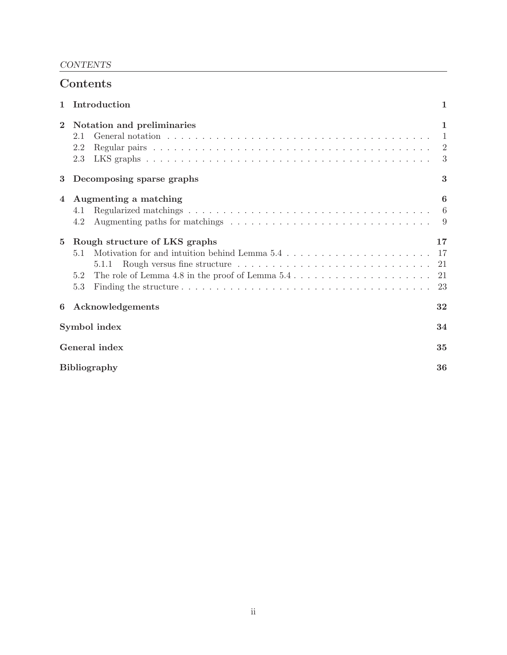# CONTENTS

| Contents                  |                                                                                                                                                                                                                                                                                                                                                                          |                                                         |  |
|---------------------------|--------------------------------------------------------------------------------------------------------------------------------------------------------------------------------------------------------------------------------------------------------------------------------------------------------------------------------------------------------------------------|---------------------------------------------------------|--|
| $\mathbf{1}$              | Introduction                                                                                                                                                                                                                                                                                                                                                             | ı                                                       |  |
| $\mathbf 2$               | Notation and preliminaries<br>2.1<br>2.2<br>2.3                                                                                                                                                                                                                                                                                                                          | 1<br>$\mathbf{1}$<br>$\overline{2}$<br>$\boldsymbol{3}$ |  |
| 3                         | Decomposing sparse graphs                                                                                                                                                                                                                                                                                                                                                | 3                                                       |  |
| $\overline{4}$            | Augmenting a matching<br>4.1<br>Augmenting paths for matchings $\dots \dots \dots \dots \dots \dots \dots \dots \dots \dots \dots \dots$<br>4.2                                                                                                                                                                                                                          | 6<br>6                                                  |  |
| $5^{\circ}$               | Rough structure of LKS graphs<br>Motivation for and intuition behind Lemma $5.4 \ldots \ldots \ldots \ldots \ldots \ldots \ldots$<br>5.1<br>Rough versus fine structure $\dots \dots \dots \dots \dots \dots \dots \dots \dots \dots \dots$<br>5.1.1<br>The role of Lemma 4.8 in the proof of Lemma $5.4 \ldots \ldots \ldots \ldots \ldots \ldots \ldots$<br>5.2<br>5.3 | 17<br>-17<br>21<br>21<br>23                             |  |
| 6                         | Acknowledgements                                                                                                                                                                                                                                                                                                                                                         | 32                                                      |  |
| Symbol index              |                                                                                                                                                                                                                                                                                                                                                                          | 34                                                      |  |
| General index             |                                                                                                                                                                                                                                                                                                                                                                          | 35                                                      |  |
| <b>Bibliography</b><br>36 |                                                                                                                                                                                                                                                                                                                                                                          |                                                         |  |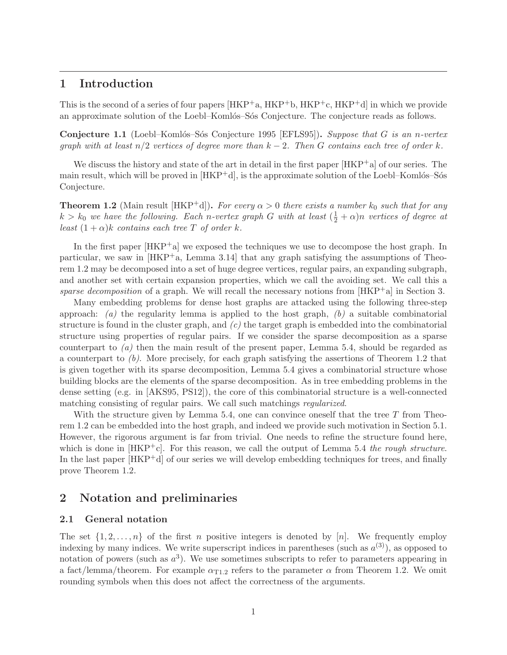# 1 Introduction

This is the second of a series of four papers  $[HKP^+a, HKP^+b, HKP^+c, HKP^+d]$  in which we provide an approximate solution of the Loebl–Komlós–Sós Conjecture. The conjecture reads as follows.

**Conjecture 1.1** (Loebl–Komlós–Sós Conjecture 1995 [EFLS95]). Suppose that G is an n-vertex graph with at least  $n/2$  vertices of degree more than  $k-2$ . Then G contains each tree of order k.

We discuss the history and state of the art in detail in the first paper  $[HKP^+a]$  of our series. The main result, which will be proved in  $[HKP^+d]$ , is the approximate solution of the Loebl–Komlós–Sós Conjecture.

**Theorem 1.2** (Main result [HKP<sup>+</sup>d]). For every  $\alpha > 0$  there exists a number  $k_0$  such that for any  $k > k_0$  we have the following. Each n-vertex graph G with at least  $(\frac{1}{2} + \alpha)n$  vertices of degree at least  $(1 + \alpha)k$  contains each tree T of order k.

In the first paper [HKP<sup>+</sup>a] we exposed the techniques we use to decompose the host graph. In particular, we saw in  $[HKP^+a, \text{ Lemma } 3.14]$  that any graph satisfying the assumptions of Theorem 1.2 may be decomposed into a set of huge degree vertices, regular pairs, an expanding subgraph, and another set with certain expansion properties, which we call the avoiding set. We call this a sparse decomposition of a graph. We will recall the necessary notions from  $[HKP^+a]$  in Section 3.

Many embedding problems for dense host graphs are attacked using the following three-step approach: (a) the regularity lemma is applied to the host graph,  $(b)$  a suitable combinatorial structure is found in the cluster graph, and  $(c)$  the target graph is embedded into the combinatorial structure using properties of regular pairs. If we consider the sparse decomposition as a sparse counterpart to (a) then the main result of the present paper, Lemma 5.4, should be regarded as a counterpart to  $(b)$ . More precisely, for each graph satisfying the assertions of Theorem 1.2 that is given together with its sparse decomposition, Lemma 5.4 gives a combinatorial structure whose building blocks are the elements of the sparse decomposition. As in tree embedding problems in the dense setting (e.g. in [AKS95, PS12]), the core of this combinatorial structure is a well-connected matching consisting of regular pairs. We call such matchings regularized.

With the structure given by Lemma 5.4, one can convince oneself that the tree  $T$  from Theorem 1.2 can be embedded into the host graph, and indeed we provide such motivation in Section 5.1. However, the rigorous argument is far from trivial. One needs to refine the structure found here, which is done in  $[HKP^+c]$ . For this reason, we call the output of Lemma 5.4 the rough structure. In the last paper  $[HKP^+d]$  of our series we will develop embedding techniques for trees, and finally prove Theorem 1.2.

# 2 Notation and preliminaries

### 2.1 General notation

The set  $\{1, 2, \ldots, n\}$  of the first n positive integers is denoted by [n]. We frequently employ indexing by many indices. We write superscript indices in parentheses (such as  $a^{(3)}$ ), as opposed to notation of powers (such as  $a^3$ ). We use sometimes subscripts to refer to parameters appearing in a fact/lemma/theorem. For example  $\alpha_{T1,2}$  refers to the parameter  $\alpha$  from Theorem 1.2. We omit rounding symbols when this does not affect the correctness of the arguments.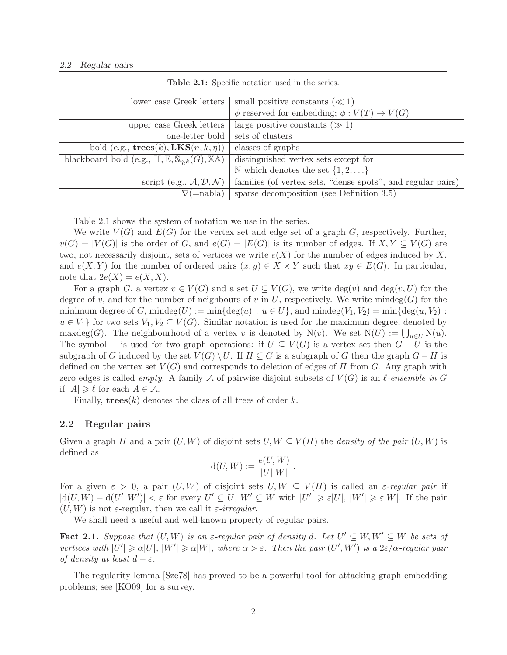| small positive constants ( $\ll 1$ )                        |
|-------------------------------------------------------------|
| $\phi$ reserved for embedding; $\phi: V(T) \to V(G)$        |
| large positive constants $(\gg 1)$                          |
| sets of clusters                                            |
| classes of graphs                                           |
| distinguished vertex sets except for                        |
| N which denotes the set $\{1, 2, \}$                        |
| families (of vertex sets, "dense spots", and regular pairs) |
| sparse decomposition (see Definition $3.5$ )                |
|                                                             |

Table 2.1: Specific notation used in the series.

Table 2.1 shows the system of notation we use in the series.

We write  $V(G)$  and  $E(G)$  for the vertex set and edge set of a graph G, respectively. Further,  $v(G) = |V(G)|$  is the order of G, and  $e(G) = |E(G)|$  is its number of edges. If  $X, Y \subseteq V(G)$  are two, not necessarily disjoint, sets of vertices we write  $e(X)$  for the number of edges induced by X. and  $e(X, Y)$  for the number of ordered pairs  $(x, y) \in X \times Y$  such that  $xy \in E(G)$ . In particular, note that  $2e(X) = e(X, X)$ .

For a graph G, a vertex  $v \in V(G)$  and a set  $U \subseteq V(G)$ , we write  $\deg(v)$  and  $\deg(v, U)$  for the degree of v, and for the number of neighbours of v in U, respectively. We write  $\text{mindeg}(G)$  for the minimum degree of G, mindeg(U) := min{deg(u) :  $u \in U$ }, and mindeg( $V_1, V_2$ ) = min{deg(u,  $V_2$ ) :  $u \in V_1$  for two sets  $V_1, V_2 \subseteq V(G)$ . Similar notation is used for the maximum degree, denoted by maxdeg(G). The neighbourhood of a vertex v is denoted by N(v). We set  $N(U) := \bigcup_{u \in U} N(u)$ . The symbol – is used for two graph operations: if  $U \subseteq V(G)$  is a vertex set then  $G - U$  is the subgraph of G induced by the set  $V(G) \setminus U$ . If  $H \subseteq G$  is a subgraph of G then the graph  $G - H$  is defined on the vertex set  $V(G)$  and corresponds to deletion of edges of H from G. Any graph with zero edges is called *empty*. A family A of pairwise disjoint subsets of  $V(G)$  is an  $\ell$ -ensemble in G if  $|A| \geq \ell$  for each  $A \in \mathcal{A}$ .

Finally,  $\mathbf{trees}(k)$  denotes the class of all trees of order k.

### 2.2 Regular pairs

Given a graph H and a pair  $(U, W)$  of disjoint sets  $U, W \subseteq V(H)$  the *density of the pair*  $(U, W)$  is defined as

$$
d(U, W) := \frac{e(U, W)}{|U||W|}.
$$

For a given  $\varepsilon > 0$ , a pair  $(U, W)$  of disjoint sets  $U, W \subseteq V(H)$  is called an  $\varepsilon$ -regular pair if  $|d(U, W) - d(U', W')| < \varepsilon$  for every  $U' \subseteq U$ ,  $W' \subseteq W$  with  $|U'| \geq \varepsilon |U|$ ,  $|W'| \geq \varepsilon |W|$ . If the pair  $(U, W)$  is not  $\varepsilon$ -regular, then we call it  $\varepsilon$ -irregular.

We shall need a useful and well-known property of regular pairs.

**Fact 2.1.** Suppose that  $(U, W)$  is an  $\varepsilon$ -regular pair of density d. Let  $U' \subseteq W, W' \subseteq W$  be sets of vertices with  $|U'| \ge \alpha |U|$ ,  $|W'| \ge \alpha |W|$ , where  $\alpha > \varepsilon$ . Then the pair  $(U', W')$  is a  $2\varepsilon/\alpha$ -regular pair of density at least  $d - \varepsilon$ .

The regularity lemma [Sze78] has proved to be a powerful tool for attacking graph embedding problems; see [KO09] for a survey.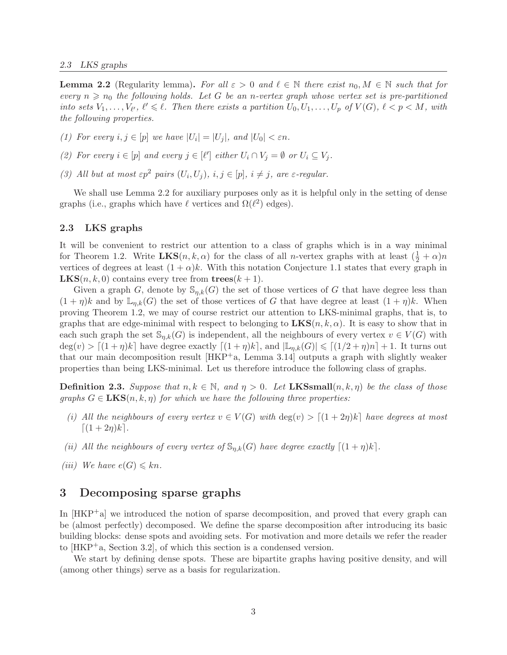#### 2.3 LKS graphs

**Lemma 2.2** (Regularity lemma). For all  $\varepsilon > 0$  and  $\ell \in \mathbb{N}$  there exist  $n_0, M \in \mathbb{N}$  such that for every  $n \geq n_0$  the following holds. Let G be an n-vertex graph whose vertex set is pre-partitioned into sets  $V_1, \ldots, V_{\ell'}$ ,  $\ell' \leq \ell$ . Then there exists a partition  $U_0, U_1, \ldots, U_p$  of  $V(G)$ ,  $\ell < p < M$ , with the following properties.

(1) For every  $i, j \in [p]$  we have  $|U_i| = |U_j|$ , and  $|U_0| < \varepsilon n$ .

- (2) For every  $i \in [p]$  and every  $j \in [\ell']$  either  $U_i \cap V_j = \emptyset$  or  $U_i \subseteq V_j$ .
- (3) All but at most  $\varepsilon p^2$  pairs  $(U_i, U_j)$ ,  $i, j \in [p]$ ,  $i \neq j$ , are  $\varepsilon$ -regular.

We shall use Lemma 2.2 for auxiliary purposes only as it is helpful only in the setting of dense graphs (i.e., graphs which have  $\ell$  vertices and  $\Omega(\ell^2)$  edges).

### 2.3 LKS graphs

It will be convenient to restrict our attention to a class of graphs which is in a way minimal for Theorem 1.2. Write  $LKS(n, k, \alpha)$  for the class of all *n*-vertex graphs with at least  $(\frac{1}{2} + \alpha)n$ vertices of degrees at least  $(1 + \alpha)k$ . With this notation Conjecture 1.1 states that every graph in **LKS** $(n, k, 0)$  contains every tree from  $\mathbf{trees}(k+1)$ .

Given a graph G, denote by  $\mathbb{S}_{\eta,k}(G)$  the set of those vertices of G that have degree less than  $(1 + \eta)k$  and by  $\mathbb{L}_{n,k}(G)$  the set of those vertices of G that have degree at least  $(1 + \eta)k$ . When proving Theorem 1.2, we may of course restrict our attention to LKS-minimal graphs, that is, to graphs that are edge-minimal with respect to belonging to  $LKS(n, k, \alpha)$ . It is easy to show that in each such graph the set  $\mathbb{S}_{n,k}(G)$  is independent, all the neighbours of every vertex  $v \in V(G)$  with  $\deg(v) > [(1 + \eta)k]$  have degree exactly  $[(1 + \eta)k]$ , and  $|\mathbb{L}_{\eta,k}(G)| \leq (1/2 + \eta)n + 1$ . It turns out that our main decomposition result [HKP+a, Lemma 3.14] outputs a graph with slightly weaker properties than being LKS-minimal. Let us therefore introduce the following class of graphs.

**Definition 2.3.** Suppose that  $n, k \in \mathbb{N}$ , and  $\eta > 0$ . Let **LKSsmall** $(n, k, \eta)$  be the class of those graphs  $G \in \mathbf{LKS}(n, k, \eta)$  for which we have the following three properties:

- (i) All the neighbours of every vertex  $v \in V(G)$  with  $\deg(v) > [(1+2\eta)k]$  have degrees at most  $[(1 + 2n)k]$ .
- (ii) All the neighbours of every vertex of  $\mathbb{S}_{n,k}(G)$  have degree exactly  $\lceil (1 + \eta)k \rceil$ .
- (iii) We have  $e(G) \leq k n$ .

# 3 Decomposing sparse graphs

In  $[HKP^+]$  we introduced the notion of sparse decomposition, and proved that every graph can be (almost perfectly) decomposed. We define the sparse decomposition after introducing its basic building blocks: dense spots and avoiding sets. For motivation and more details we refer the reader to  $[HKP^+a, Section 3.2]$ , of which this section is a condensed version.

We start by defining dense spots. These are bipartite graphs having positive density, and will (among other things) serve as a basis for regularization.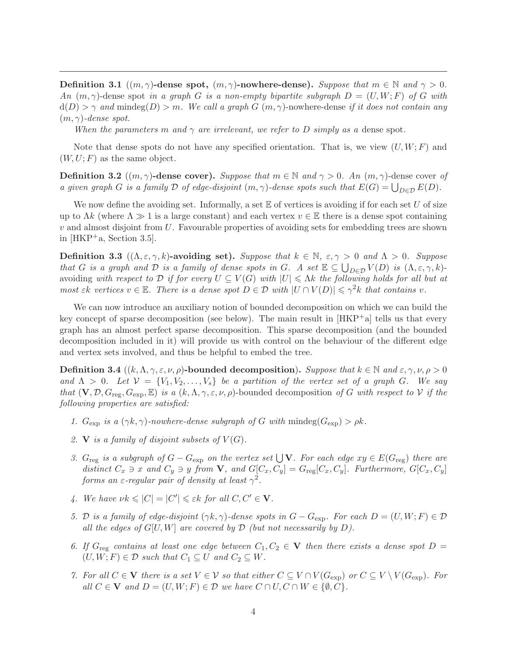Definition 3.1  $((m, \gamma)$ -dense spot,  $(m, \gamma)$ -nowhere-dense). Suppose that  $m \in \mathbb{N}$  and  $\gamma > 0$ . An  $(m, \gamma)$ -dense spot in a graph G is a non-empty bipartite subgraph  $D = (U, W; F)$  of G with  $d(D) > \gamma$  and mindeg(D) > m. We call a graph G  $(m, \gamma)$ -nowhere-dense if it does not contain any  $(m, \gamma)$ -dense spot.

When the parameters m and  $\gamma$  are irrelevant, we refer to D simply as a dense spot.

Note that dense spots do not have any specified orientation. That is, we view  $(U, W; F)$  and  $(W, U; F)$  as the same object.

**Definition 3.2**  $((m, \gamma)$ -dense cover). Suppose that  $m \in \mathbb{N}$  and  $\gamma > 0$ . An  $(m, \gamma)$ -dense cover of a given graph G is a family D of edge-disjoint  $(m, \gamma)$ -dense spots such that  $E(G) = \bigcup_{D \in \mathcal{D}} E(D)$ .

We now define the avoiding set. Informally, a set  $E$  of vertices is avoiding if for each set U of size up to  $\Lambda k$  (where  $\Lambda \gg 1$  is a large constant) and each vertex  $v \in \mathbb{E}$  there is a dense spot containing  $v$  and almost disjoint from  $U$ . Favourable properties of avoiding sets for embedding trees are shown in [HKP<sup>+</sup>a, Section 3.5].

**Definition 3.3** ( $(\Lambda, \varepsilon, \gamma, k)$ -avoiding set). Suppose that  $k \in \mathbb{N}$ ,  $\varepsilon, \gamma > 0$  and  $\Lambda > 0$ . Suppose that G is a graph and D is a family of dense spots in G. A set  $\mathbb{E} \subseteq \bigcup_{D \in \mathcal{D}} V(D)$  is  $(\Lambda, \varepsilon, \gamma, k)$ avoiding with respect to D if for every  $U \subseteq V(G)$  with  $|U| \leq \Lambda k$  the following holds for all but at most  $\varepsilon k$  vertices  $v \in \mathbb{E}$ . There is a dense spot  $D \in \mathcal{D}$  with  $|U \cap V(D)| \leq \gamma^2 k$  that contains v.

We can now introduce an auxiliary notion of bounded decomposition on which we can build the key concept of sparse decomposition (see below). The main result in  $[HKP^+]$  tells us that every graph has an almost perfect sparse decomposition. This sparse decomposition (and the bounded decomposition included in it) will provide us with control on the behaviour of the different edge and vertex sets involved, and thus be helpful to embed the tree.

**Definition 3.4**  $((k, \Lambda, \gamma, \varepsilon, \nu, \rho)$ -bounded decomposition). Suppose that  $k \in \mathbb{N}$  and  $\varepsilon, \gamma, \nu, \rho > 0$ and  $\Lambda > 0$ . Let  $\mathcal{V} = \{V_1, V_2, \ldots, V_s\}$  be a partition of the vertex set of a graph G. We say that  $(V, \mathcal{D}, G_{reg}, G_{exp}, \mathbb{E})$  is a  $(k, \Lambda, \gamma, \varepsilon, \nu, \rho)$ -bounded decomposition of G with respect to V if the following properties are satisfied:

- 1.  $G_{\text{exp}}$  is a  $(\gamma k, \gamma)$ -nowhere-dense subgraph of G with mindeg $(G_{\text{exp}}) > \rho k$ .
- 2. V is a family of disjoint subsets of  $V(G)$ .
- 3.  $G_{reg}$  is a subgraph of  $G G_{exp}$  on the vertex set  $\bigcup V$ . For each edge  $xy \in E(G_{reg})$  there are distinct  $C_x \ni x$  and  $C_y \ni y$  from **V**, and  $G[C_x, C_y] = G_{reg}[C_x, C_y]$ . Furthermore,  $G[C_x, C_y]$ forms an  $\varepsilon$ -regular pair of density at least  $\gamma^2$ .
- 4. We have  $\nu k \leqslant |C| = |C'| \leqslant \varepsilon k$  for all  $C, C' \in \mathbf{V}$ .
- 5. D is a family of edge-disjoint  $(\gamma k, \gamma)$ -dense spots in  $G G_{\text{exp}}$ . For each  $D = (U, W; F) \in \mathcal{D}$ all the edges of  $G[U, W]$  are covered by  $D$  (but not necessarily by  $D$ ).
- 6. If  $G_{reg}$  contains at least one edge between  $C_1, C_2 \in V$  then there exists a dense spot  $D =$  $(U, W; F) \in \mathcal{D}$  such that  $C_1 \subseteq U$  and  $C_2 \subseteq W$ .
- 7. For all  $C \in V$  there is a set  $V \in V$  so that either  $C \subseteq V \cap V(G_{exp})$  or  $C \subseteq V \setminus V(G_{exp})$ . For all  $C \in V$  and  $D = (U, W; F) \in D$  we have  $C \cap U, C \cap W \in \{\emptyset, C\}.$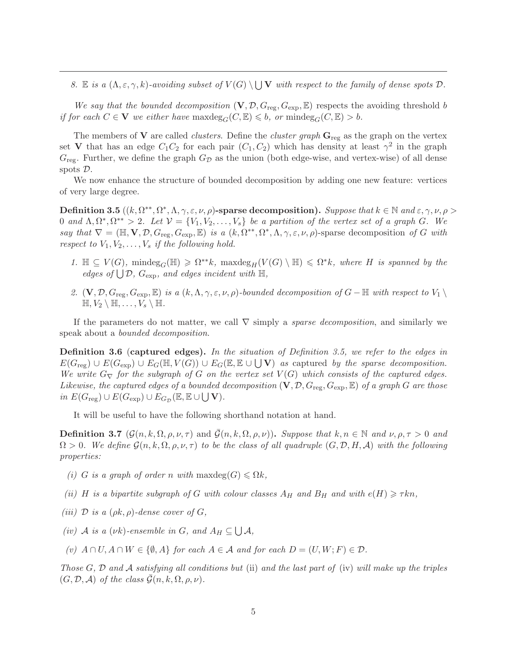8. E is a  $(\Lambda, \varepsilon, \gamma, k)$ -avoiding subset of  $V(G) \setminus \bigcup V$  with respect to the family of dense spots  $\mathcal{D}$ .

We say that the bounded decomposition  $(V, \mathcal{D}, G_{\text{reg}}, G_{\text{exp}}, \mathbb{E})$  respects the avoiding threshold b if for each  $C \in V$  we either have maximides  $\mathcal{C}_G(C, \mathbb{E}) \leq b$ , or mindes  $\mathcal{C}_G(C, \mathbb{E}) > b$ .

The members of V are called *clusters*. Define the *cluster graph*  $\mathbf{G}_{\text{reg}}$  as the graph on the vertex set V that has an edge  $C_1C_2$  for each pair  $(C_1, C_2)$  which has density at least  $\gamma^2$  in the graph  $G_{\text{reg}}$ . Further, we define the graph  $G_{\mathcal{D}}$  as the union (both edge-wise, and vertex-wise) of all dense spots D.

We now enhance the structure of bounded decomposition by adding one new feature: vertices of very large degree.

Definition 3.5  $((k, \Omega^{**}, \Omega^*, \Lambda, \gamma, \varepsilon, \nu, \rho)$ -sparse decomposition). Suppose that  $k \in \mathbb{N}$  and  $\varepsilon, \gamma, \nu, \rho >$ 0 and  $\Lambda, \Omega^*, \Omega^{**} > 2$ . Let  $\mathcal{V} = \{V_1, V_2, \ldots, V_s\}$  be a partition of the vertex set of a graph G. We say that  $\nabla = (\mathbb{H}, \mathbf{V}, \mathcal{D}, G_{reg}, G_{exp}, \mathbb{E})$  is a  $(k, \Omega^{**}, \Omega^*, \Lambda, \gamma, \varepsilon, \nu, \rho)$ -sparse decomposition of G with respect to  $V_1, V_2, \ldots, V_s$  if the following hold.

- 1.  $\mathbb{H} \subseteq V(G)$ , mindeg<sub>G</sub>( $\mathbb{H}$ )  $\geq \Omega^{**}k$ , maxdeg<sub>H</sub>( $V(G) \setminus \mathbb{H}$ )  $\leq \Omega^*k$ , where H is spanned by the edges of  $\bigcup \mathcal{D}$ ,  $G_{\exp}$ , and edges incident with  $\mathbb{H}$ ,
- 2.  $(V, \mathcal{D}, G_{reg}, G_{exp}, \mathbb{E})$  is a  $(k, \Lambda, \gamma, \varepsilon, \nu, \rho)$ -bounded decomposition of  $G \mathbb{H}$  with respect to  $V_1 \setminus$  $\mathbb{H}, V_2 \setminus \mathbb{H}, \ldots, V_s \setminus \mathbb{H}.$

If the parameters do not matter, we call  $\nabla$  simply a *sparse decomposition*, and similarly we speak about a bounded decomposition.

Definition 3.6 (captured edges). In the situation of Definition 3.5, we refer to the edges in  $E(G_{\text{reg}}) \cup E(G_{\text{exp}}) \cup E_G(\mathbb{H}, V(G)) \cup E_G(\mathbb{E}, \mathbb{E} \cup \bigcup \mathbf{V})$  as captured by the sparse decomposition. We write  $G_{\nabla}$  for the subgraph of G on the vertex set  $V(G)$  which consists of the captured edges. Likewise, the captured edges of a bounded decomposition  $(V, \mathcal{D}, G_{\text{reg}}, G_{\text{exp}}, \mathbb{E})$  of a graph G are those in  $E(G_{\text{reg}}) \cup E(G_{\text{exp}}) \cup E_{G_{\mathcal{D}}}(\mathbb{E}, \mathbb{E} \cup \bigcup \mathbf{V}).$ 

It will be useful to have the following shorthand notation at hand.

**Definition 3.7**  $(\mathcal{G}(n, k, \Omega, \rho, \nu, \tau)$  and  $\mathcal{G}(n, k, \Omega, \rho, \nu)$ . Suppose that  $k, n \in \mathbb{N}$  and  $\nu, \rho, \tau > 0$  and  $\Omega > 0$ . We define  $\mathcal{G}(n, k, \Omega, \rho, \nu, \tau)$  to be the class of all quadruple  $(G, \mathcal{D}, H, \mathcal{A})$  with the following properties:

- (i) G is a graph of order n with  $\maxdeg(G) \leq \Omega k$ ,
- (ii) H is a bipartite subgraph of G with colour classes  $A_H$  and  $B_H$  and with  $e(H) \geq \tau k n$ ,
- (iii) D is a  $(\rho k, \rho)$ -dense cover of G,
- (iv) A is a  $(\nu k)$ -ensemble in G, and  $A_H \subseteq \bigcup A$ ,
- (v)  $A \cap U$ ,  $A \cap W \in \{\emptyset, A\}$  for each  $A \in \mathcal{A}$  and for each  $D = (U, W; F) \in \mathcal{D}$ .

Those  $G, \mathcal{D}$  and  $\mathcal{A}$  satisfying all conditions but (ii) and the last part of (iv) will make up the triples  $(G, \mathcal{D}, \mathcal{A})$  of the class  $\mathcal{G}(n, k, \Omega, \rho, \nu)$ .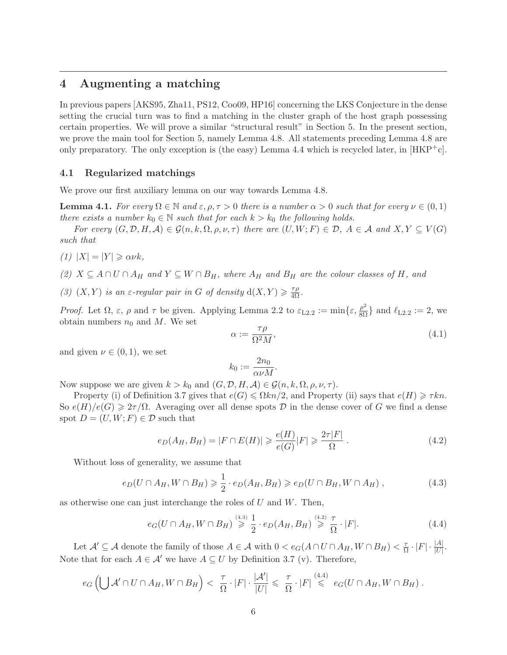# 4 Augmenting a matching

In previous papers [AKS95, Zha11, PS12, Coo09, HP16] concerning the LKS Conjecture in the dense setting the crucial turn was to find a matching in the cluster graph of the host graph possessing certain properties. We will prove a similar "structural result" in Section 5. In the present section, we prove the main tool for Section 5, namely Lemma 4.8. All statements preceding Lemma 4.8 are only preparatory. The only exception is (the easy) Lemma 4.4 which is recycled later, in  $[HKP^+c]$ .

### 4.1 Regularized matchings

We prove our first auxiliary lemma on our way towards Lemma 4.8.

**Lemma 4.1.** For every  $\Omega \in \mathbb{N}$  and  $\varepsilon, \rho, \tau > 0$  there is a number  $\alpha > 0$  such that for every  $\nu \in (0,1)$ there exists a number  $k_0 \in \mathbb{N}$  such that for each  $k > k_0$  the following holds.

For every  $(G, \mathcal{D}, H, \mathcal{A}) \in \mathcal{G}(n, k, \Omega, \rho, \nu, \tau)$  there are  $(U, W; F) \in \mathcal{D}, A \in \mathcal{A}$  and  $X, Y \subseteq V(G)$ such that

(1)  $|X| = |Y| \ge \alpha \nu k$ ,

(2)  $X \subseteq A \cap U \cap A_H$  and  $Y \subseteq W \cap B_H$ , where  $A_H$  and  $B_H$  are the colour classes of H, and

(3)  $(X, Y)$  is an  $\varepsilon$ -regular pair in G of density  $d(X, Y) \geq \frac{\tau \rho}{4\Omega}$ .

*Proof.* Let  $\Omega$ ,  $\varepsilon$ ,  $\rho$  and  $\tau$  be given. Applying Lemma 2.2 to  $\varepsilon_{L2.2} := \min\{\varepsilon, \frac{\rho^2}{8\Omega}\}\$ and  $\ell_{L2.2} := 2$ , we obtain numbers  $n_0$  and M. We set

$$
\alpha := \frac{\tau \rho}{\Omega^2 M},\tag{4.1}
$$

and given  $\nu \in (0,1)$ , we set

$$
k_0:=\frac{2n_0}{\alpha\nu M}
$$

.

Now suppose we are given  $k > k_0$  and  $(G, \mathcal{D}, H, \mathcal{A}) \in \mathcal{G}(n, k, \Omega, \rho, \nu, \tau)$ .

Property (i) of Definition 3.7 gives that  $e(G) \le \Omega k n/2$ , and Property (ii) says that  $e(H) \ge \tau k n$ . So  $e(H)/e(G) \geq 2\tau/\Omega$ . Averaging over all dense spots D in the dense cover of G we find a dense spot  $D = (U, W; F) \in \mathcal{D}$  such that

$$
e_D(A_H, B_H) = |F \cap E(H)| \geqslant \frac{e(H)}{e(G)}|F| \geqslant \frac{2\tau|F|}{\Omega} \,. \tag{4.2}
$$

Without loss of generality, we assume that

$$
e_D(U \cap A_H, W \cap B_H) \geq \frac{1}{2} \cdot e_D(A_H, B_H) \geqslant e_D(U \cap B_H, W \cap A_H), \tag{4.3}
$$

as otherwise one can just interchange the roles of  $U$  and  $W$ . Then,

$$
e_G(U \cap A_H, W \cap B_H) \stackrel{(4.3)}{\geq} \frac{1}{2} \cdot e_D(A_H, B_H) \stackrel{(4.2)}{\geq} \frac{\tau}{\Omega} \cdot |F|.
$$
 (4.4)

Let  $\mathcal{A}' \subseteq \mathcal{A}$  denote the family of those  $A \in \mathcal{A}$  with  $0 < e_G(A \cap U \cap A_H, W \cap B_H) < \frac{\tau}{\Omega}$  $\frac{\tau}{\Omega}\cdot |F|\cdot \frac{|A|}{|U|}.$ Note that for each  $A \in \mathcal{A}'$  we have  $A \subseteq U$  by Definition 3.7 (v). Therefore,

$$
e_G\left(\bigcup \mathcal{A}' \cap U \cap A_H, W \cap B_H\right) < \frac{\tau}{\Omega} \cdot |F| \cdot \frac{|\mathcal{A}'|}{|U|} \leq \frac{\tau}{\Omega} \cdot |F| \stackrel{(4.4)}{\leq} e_G(U \cap A_H, W \cap B_H).
$$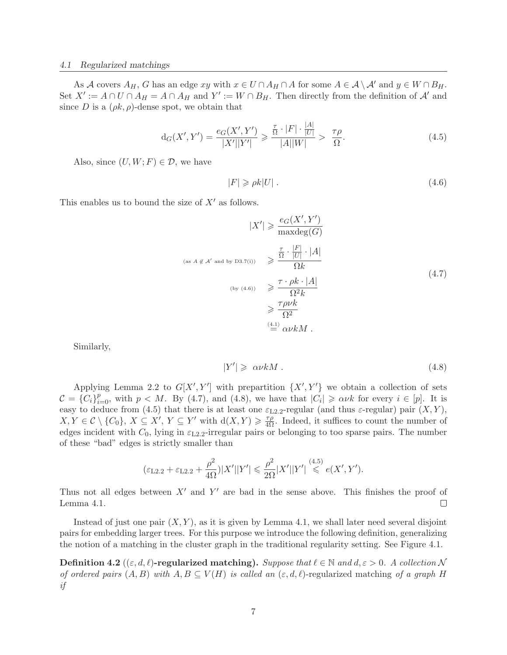#### 4.1 Regularized matchings

As A covers  $A_H$ , G has an edge xy with  $x \in U \cap A_H \cap A$  for some  $A \in \mathcal{A} \setminus \mathcal{A}'$  and  $y \in W \cap B_H$ . Set  $X' := A \cap U \cap A_H = A \cap A_H$  and  $Y' := W \cap B_H$ . Then directly from the definition of A' and since D is a  $(\rho k, \rho)$ -dense spot, we obtain that

$$
d_G(X', Y') = \frac{e_G(X', Y')}{|X'||Y'|} \ge \frac{\frac{\tau}{\Omega} \cdot |F| \cdot \frac{|A|}{|U|}}{|A||W|} > \frac{\tau \rho}{\Omega}.
$$
\n(4.5)

Also, since  $(U, W; F) \in \mathcal{D}$ , we have

$$
|F| \ge \rho k |U| \tag{4.6}
$$

This enables us to bound the size of  $X'$  as follows.

$$
|X'| \geqslant \frac{e_G(X', Y')}{\maxdeg(G)}
$$
\n
$$
\max(A \notin \mathcal{A}')
$$
\n
$$
\max(A \notin \mathcal{A}')
$$
\n
$$
\max(A \notin \mathcal{A}')
$$
\n
$$
\sum_{\substack{\text{(by (4.6))} \\ \geqslant \mathcal{A} \text{ with } \Omega}} \frac{\tau \cdot \rho k \cdot |A|}{\Omega^2 k}
$$
\n
$$
\geqslant \frac{\tau \rho \nu k}{\Omega^2}
$$
\n
$$
\sum_{i=1}^{\left(\frac{4.1}{2}\right)} \alpha \nu k M \tag{4.7}
$$

Similarly,

$$
|Y'| \geqslant \alpha \nu k M \tag{4.8}
$$

Applying Lemma 2.2 to  $G[X', Y']$  with prepartition  $\{X', Y'\}$  we obtain a collection of sets  $\mathcal{C} = \{C_i\}_{i=0}^p$ , with  $p < M$ . By (4.7), and (4.8), we have that  $|C_i| \geq \alpha \nu k$  for every  $i \in [p]$ . It is easy to deduce from (4.5) that there is at least one  $\varepsilon_{L2,2}$ -regular (and thus  $\varepsilon$ -regular) pair  $(X, Y)$ ,  $X, Y \in \mathcal{C} \setminus \{C_0\}, X \subseteq X', Y \subseteq Y'$  with  $d(X, Y) \geq \frac{\tau \rho}{4\Omega}$ . Indeed, it suffices to count the number of edges incident with  $C_0$ , lying in  $\varepsilon_{L2.2}$ -irregular pairs or belonging to too sparse pairs. The number of these "bad" edges is strictly smaller than

$$
(\varepsilon_{\text{L2.2}} + \varepsilon_{\text{L2.2}} + \frac{\rho^2}{4\Omega})|X'||Y'| \leq \frac{\rho^2}{2\Omega}|X'||Y'| \leqslant e(X', Y').
$$

Thus not all edges between  $X'$  and  $Y'$  are bad in the sense above. This finishes the proof of Lemma 4.1.  $\Box$ 

Instead of just one pair  $(X, Y)$ , as it is given by Lemma 4.1, we shall later need several disjoint pairs for embedding larger trees. For this purpose we introduce the following definition, generalizing the notion of a matching in the cluster graph in the traditional regularity setting. See Figure 4.1.

Definition 4.2 ( $(\varepsilon, d, \ell)$ -regularized matching). Suppose that  $\ell \in \mathbb{N}$  and  $d, \varepsilon > 0$ . A collection N of ordered pairs  $(A, B)$  with  $A, B \subseteq V(H)$  is called an  $(\varepsilon, d, \ell)$ -regularized matching of a graph H if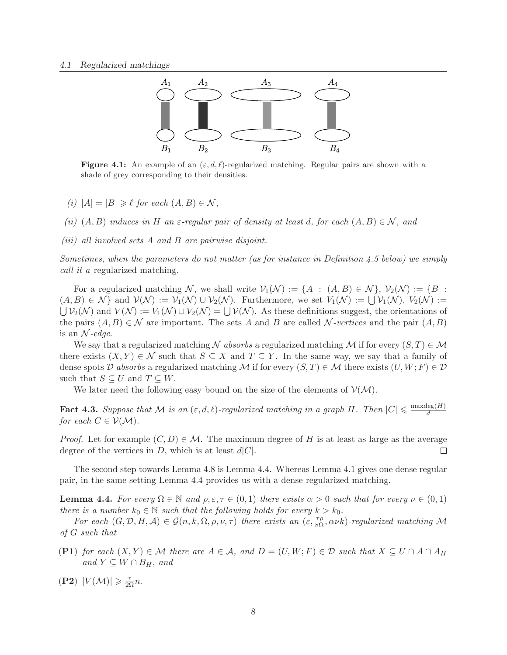

**Figure 4.1:** An example of an  $(\varepsilon, d, \ell)$ -regularized matching. Regular pairs are shown with a shade of grey corresponding to their densities.

- (i)  $|A| = |B| \geq \ell$  for each  $(A, B) \in \mathcal{N}$ ,
- (ii)  $(A, B)$  induces in H an  $\varepsilon$ -regular pair of density at least d, for each  $(A, B) \in \mathcal{N}$ , and
- (iii) all involved sets A and B are pairwise disjoint.

Sometimes, when the parameters do not matter (as for instance in Definition 4.5 below) we simply call it a regularized matching.

For a regularized matching N, we shall write  $V_1(\mathcal{N}) := \{A : (A, B) \in \mathcal{N}\}, V_2(\mathcal{N}) := \{B :$  $(A, B) \in \mathcal{N} \}$  and  $\mathcal{V}(\mathcal{N}) := \mathcal{V}_1(\mathcal{N}) \cup \mathcal{V}_2(\mathcal{N})$ . Furthermore, we set  $V_1(\mathcal{N}) := \bigcup \mathcal{V}_1(\mathcal{N}), V_2(\mathcal{N}) :=$  $\bigcup \mathcal{V}_2(\mathcal{N})$  and  $V(\mathcal{N}) := V_1(\mathcal{N}) \cup V_2(\mathcal{N}) = \bigcup \mathcal{V}(\mathcal{N})$ . As these definitions suggest, the orientations of the pairs  $(A, B) \in \mathcal{N}$  are important. The sets A and B are called N-vertices and the pair  $(A, B)$ is an  $\mathcal{N}\text{-}edge.$ 

We say that a regularized matching N absorbs a regularized matching M if for every  $(S, T) \in \mathcal{M}$ there exists  $(X, Y) \in \mathcal{N}$  such that  $S \subseteq X$  and  $T \subseteq Y$ . In the same way, we say that a family of dense spots D absorbs a regularized matching M if for every  $(S,T) \in \mathcal{M}$  there exists  $(U, W; F) \in \mathcal{D}$ such that  $S \subseteq U$  and  $T \subseteq W$ .

We later need the following easy bound on the size of the elements of  $\mathcal{V}(\mathcal{M})$ .

**Fact 4.3.** Suppose that M is an  $(\varepsilon, d, \ell)$ -regularized matching in a graph H. Then  $|C| \leq \frac{\max\deg(H)}{d}$ d for each  $C \in \mathcal{V}(\mathcal{M})$ .

*Proof.* Let for example  $(C, D) \in \mathcal{M}$ . The maximum degree of H is at least as large as the average degree of the vertices in  $D$ , which is at least  $d|C|$ .  $\Box$ 

The second step towards Lemma 4.8 is Lemma 4.4. Whereas Lemma 4.1 gives one dense regular pair, in the same setting Lemma 4.4 provides us with a dense regularized matching.

**Lemma 4.4.** For every  $\Omega \in \mathbb{N}$  and  $\rho, \varepsilon, \tau \in (0,1)$  there exists  $\alpha > 0$  such that for every  $\nu \in (0,1)$ there is a number  $k_0 \in \mathbb{N}$  such that the following holds for every  $k > k_0$ .

For each  $(G, \mathcal{D}, H, \mathcal{A}) \in \mathcal{G}(n, k, \Omega, \rho, \nu, \tau)$  there exists an  $(\varepsilon, \frac{\tau \rho}{8\Omega}, \alpha \nu k)$ -regularized matching M of G such that

- (P1) for each  $(X, Y) \in \mathcal{M}$  there are  $A \in \mathcal{A}$ , and  $D = (U, W; F) \in \mathcal{D}$  such that  $X \subseteq U \cap A \cap A_H$ and  $Y \subseteq W \cap B_H$ , and
- (P2)  $|V(\mathcal{M})| \geqslant \frac{\tau}{2\Omega} n$ .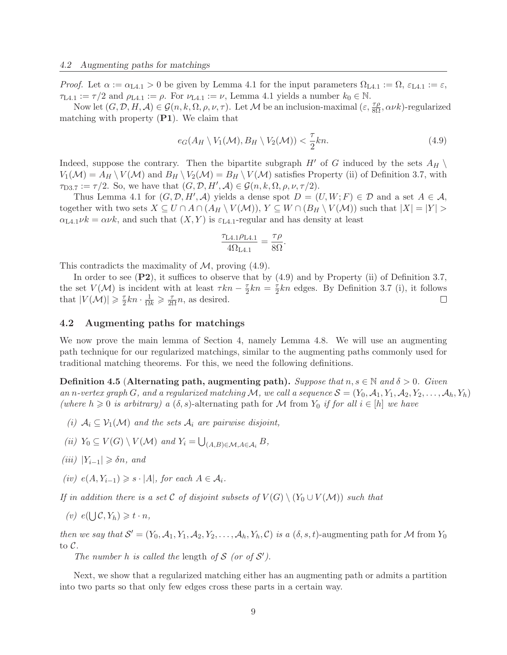*Proof.* Let  $\alpha := \alpha_{\text{L4.1}} > 0$  be given by Lemma 4.1 for the input parameters  $\Omega_{\text{L4.1}} := \Omega$ ,  $\varepsilon_{\text{L4.1}} := \varepsilon$ ,  $\tau_{L4.1} := \tau/2$  and  $\rho_{L4.1} := \rho$ . For  $\nu_{L4.1} := \nu$ , Lemma 4.1 yields a number  $k_0 \in \mathbb{N}$ .

Now let  $(G, \mathcal{D}, H, \mathcal{A}) \in \mathcal{G}(n, k, \Omega, \rho, \nu, \tau)$ . Let M be an inclusion-maximal  $(\varepsilon, \frac{\tau \rho}{8\Omega}, \alpha \nu k)$ -regularized matching with property  $(PI)$ . We claim that

$$
e_G(A_H \setminus V_1(\mathcal{M}), B_H \setminus V_2(\mathcal{M})) < \frac{\tau}{2}kn. \tag{4.9}
$$

Indeed, suppose the contrary. Then the bipartite subgraph H' of G induced by the sets  $A_H \setminus$  $V_1(\mathcal{M}) = A_H \setminus V(\mathcal{M})$  and  $B_H \setminus V_2(\mathcal{M}) = B_H \setminus V(\mathcal{M})$  satisfies Property (ii) of Definition 3.7, with  $\tau_{D3.7} := \tau/2$ . So, we have that  $(G, \mathcal{D}, H', \mathcal{A}) \in \mathcal{G}(n, k, \Omega, \rho, \nu, \tau/2)$ .

Thus Lemma 4.1 for  $(G, \mathcal{D}, H', \mathcal{A})$  yields a dense spot  $D = (U, W; F) \in \mathcal{D}$  and a set  $A \in \mathcal{A}$ , together with two sets  $X \subseteq U \cap A \cap (A_H \setminus V(\mathcal{M}))$ ,  $Y \subseteq W \cap (B_H \setminus V(\mathcal{M}))$  such that  $|X| = |Y| >$  $\alpha_{\text{L4.1}}\nu k = \alpha \nu k$ , and such that  $(X, Y)$  is  $\varepsilon_{\text{L4.1}}$ -regular and has density at least

$$
\frac{\tau_{\rm L4.1}\rho_{\rm L4.1}}{4\Omega_{\rm L4.1}} = \frac{\tau\rho}{8\Omega}.
$$

This contradicts the maximality of  $\mathcal{M}$ , proving (4.9).

In order to see  $(P2)$ , it suffices to observe that by  $(4.9)$  and by Property (ii) of Definition 3.7, the set  $V(\mathcal{M})$  is incident with at least  $\tau k n - \frac{\tau}{2}$  $\frac{\tau}{2}kn = \frac{\tau}{2}$  $\frac{\tau}{2}kn$  edges. By Definition 3.7 (i), it follows that  $|V(\mathcal{M})| \geq \frac{7}{2}$  $\frac{\tau}{2}kn \cdot \frac{1}{\Omega k} \geqslant \frac{\tau}{2\Omega}n$ , as desired.  $\Box$ 

### 4.2 Augmenting paths for matchings

We now prove the main lemma of Section 4, namely Lemma 4.8. We will use an augmenting path technique for our regularized matchings, similar to the augmenting paths commonly used for traditional matching theorems. For this, we need the following definitions.

**Definition 4.5 (Alternating path, augmenting path).** Suppose that  $n, s \in \mathbb{N}$  and  $\delta > 0$ . Given an n-vertex graph G, and a regularized matching M, we call a sequence  $S = (Y_0, A_1, Y_1, A_2, Y_2, \ldots, A_h, Y_h)$ (where  $h \geq 0$  is arbitrary) a  $(\delta, s)$ -alternating path for M from  $Y_0$  if for all  $i \in [h]$  we have

- (i)  $A_i \subseteq V_1(\mathcal{M})$  and the sets  $A_i$  are pairwise disjoint,
- (ii)  $Y_0 \subseteq V(G) \setminus V(\mathcal{M})$  and  $Y_i = \bigcup_{(A,B)\in \mathcal{M}, A\in \mathcal{A}_i} B$ ,
- (iii)  $|Y_{i-1}|$  ≥  $\delta n$ , and
- (iv)  $e(A, Y_{i-1}) \geq s \cdot |A|$ , for each  $A \in \mathcal{A}_i$ .

If in addition there is a set C of disjoint subsets of  $V(G) \setminus (Y_0 \cup V(\mathcal{M}))$  such that

(v)  $e(\bigcup \mathcal{C}, Y_h) \geq t \cdot n$ ,

then we say that  $S' = (Y_0, A_1, Y_1, A_2, Y_2, \ldots, A_h, Y_h, C)$  is a  $(\delta, s, t)$ -augmenting path for M from  $Y_0$ to C.

The number h is called the length of  $S$  (or of  $S'$ ).

Next, we show that a regularized matching either has an augmenting path or admits a partition into two parts so that only few edges cross these parts in a certain way.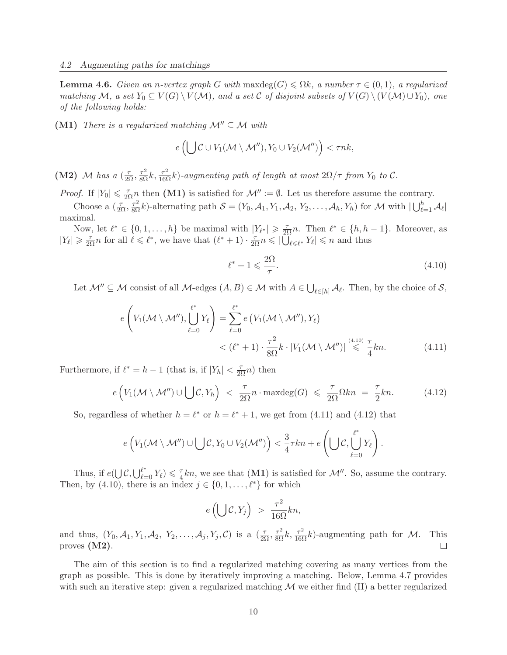**Lemma 4.6.** Given an n-vertex graph G with maxdeg(G)  $\leq \Omega k$ , a number  $\tau \in (0,1)$ , a regularized matching M, a set  $Y_0 \subseteq V(G) \setminus V(\mathcal{M})$ , and a set C of disjoint subsets of  $V(G) \setminus (V(\mathcal{M}) \cup Y_0)$ , one of the following holds:

(M1) There is a regularized matching  $\mathcal{M}'' \subseteq \mathcal{M}$  with

$$
e\left(\bigcup \mathcal{C} \cup V_1(\mathcal{M} \setminus \mathcal{M}''), Y_0 \cup V_2(\mathcal{M}'')\right) < \tau nk,
$$

(M2) M has a  $(\frac{\tau}{2\Omega}, \frac{\tau^2}{8\Omega}k, \frac{\tau^2}{16\Omega}k)$ -augmenting path of length at most  $2\Omega/\tau$  from  $Y_0$  to  $\mathcal{C}$ .

*Proof.* If  $|Y_0| \leq \frac{\tau}{2\Omega} n$  then (M1) is satisfied for  $\mathcal{M}'' := \emptyset$ . Let us therefore assume the contrary.

Choose a  $(\frac{\tau}{2\Omega}, \frac{\tau^2}{8\Omega}k)$ -alternating path  $\mathcal{S} = (Y_0, \mathcal{A}_1, Y_1, \mathcal{A}_2, Y_2, \dots, \mathcal{A}_h, Y_h)$  for M with  $|\bigcup_{\ell=1}^h \mathcal{A}_\ell|$ maximal.

Now, let  $\ell^* \in \{0, 1, ..., h\}$  be maximal with  $|Y_{\ell^*}| \geq \frac{\tau}{2\Omega}n$ . Then  $\ell^* \in \{h, h-1\}$ . Moreover, as  $|Y_{\ell}| \geq \frac{\tau}{2\Omega} n$  for all  $\ell \leq \ell^*$ , we have that  $(\ell^* + 1) \cdot \frac{\tau}{2\Omega} n \leq |\overline{U}_{\ell \leq \ell^*} Y_{\ell}| \leq n$  and thus

$$
\ell^* + 1 \leqslant \frac{2\Omega}{\tau}.\tag{4.10}
$$

Let  $\mathcal{M}'' \subseteq \mathcal{M}$  consist of all  $\mathcal{M}$ -edges  $(A, B) \in \mathcal{M}$  with  $A \in \bigcup_{\ell \in [h]} A_{\ell}$ . Then, by the choice of  $\mathcal{S},$ 

$$
e\left(V_1(\mathcal{M}\setminus\mathcal{M}''),\bigcup_{\ell=0}^{\ell^*}Y_{\ell}\right)=\sum_{\ell=0}^{\ell^*}e\left(V_1(\mathcal{M}\setminus\mathcal{M}''),Y_{\ell}\right)
$$

$$
<(\ell^*+1)\cdot\frac{\tau^2}{8\Omega}k\cdot|V_1(\mathcal{M}\setminus\mathcal{M}'')|\stackrel{(4.10)}{\leqslant}\frac{\tau}{4}kn.\tag{4.11}
$$

Furthermore, if  $\ell^* = h - 1$  (that is, if  $|Y_h| < \frac{\tau}{2\Omega} n$ ) then

$$
e\left(V_1(\mathcal{M}\setminus\mathcal{M}'')\cup\bigcup\mathcal{C},Y_h\right) < \frac{\tau}{2\Omega}n\cdot\max\deg(G) \leq \frac{\tau}{2\Omega}\Omega kn = \frac{\tau}{2}kn. \tag{4.12}
$$

So, regardless of whether  $h = \ell^*$  or  $h = \ell^* + 1$ , we get from (4.11) and (4.12) that

$$
e\left(V_1(\mathcal{M}\setminus\mathcal{M}'')\cup\bigcup\mathcal{C},Y_0\cup V_2(\mathcal{M}'')\right)<\frac{3}{4}\tau k n+e\left(\bigcup\mathcal{C},\bigcup_{\ell=0}^{\ell^*}Y_\ell\right).
$$

Thus, if  $e(\bigcup \mathcal{C}, \bigcup_{\ell=0}^{\ell^*} Y_{\ell}) \leq \frac{7}{4}$  $\frac{\tau}{4}kn$ , we see that  $($ M1) is satisfied for  $\mathcal{M}''$ . So, assume the contrary. Then, by (4.10), there is an index  $j \in \{0, 1, \ldots, \ell^*\}$  for which

$$
e\left(\bigcup \mathcal{C}, Y_j\right) > \frac{\tau^2}{16\Omega}kn,
$$

and thus,  $(Y_0, \mathcal{A}_1, Y_1, \mathcal{A}_2, Y_2, \dots, \mathcal{A}_j, Y_j, \mathcal{C})$  is a  $(\frac{\tau}{2\Omega}, \frac{\tau^2}{8\Omega}k, \frac{\tau^2}{16\Omega}k)$ -augmenting path for M. This proves (M2).

The aim of this section is to find a regularized matching covering as many vertices from the graph as possible. This is done by iteratively improving a matching. Below, Lemma 4.7 provides with such an iterative step: given a regularized matching  $\mathcal M$  we either find (II) a better regularized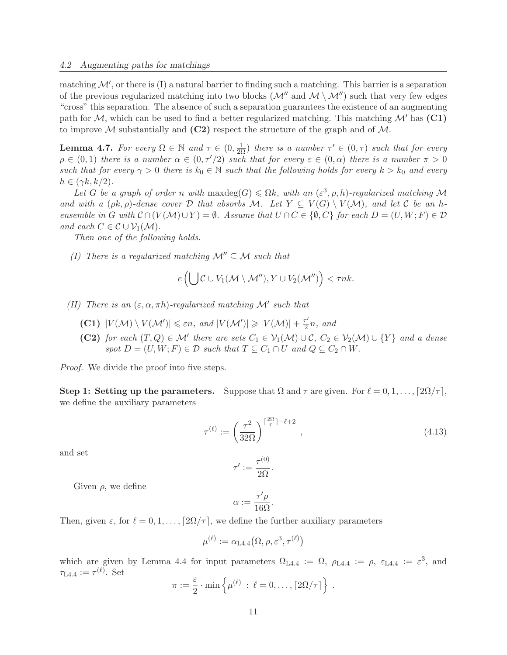matching  $\mathcal{M}'$ , or there is (I) a natural barrier to finding such a matching. This barrier is a separation of the previous regularized matching into two blocks  $(M''$  and  $M \setminus M'')$  such that very few edges "cross" this separation. The absence of such a separation guarantees the existence of an augmenting path for  $M$ , which can be used to find a better regularized matching. This matching  $M'$  has  $(C1)$ to improve M substantially and  $(C2)$  respect the structure of the graph and of M.

**Lemma 4.7.** For every  $\Omega \in \mathbb{N}$  and  $\tau \in (0, \frac{1}{2\Omega})$  there is a number  $\tau' \in (0, \tau)$  such that for every  $\rho \in (0,1)$  there is a number  $\alpha \in (0,\tau'/2)$  such that for every  $\varepsilon \in (0,\alpha)$  there is a number  $\pi > 0$ such that for every  $\gamma > 0$  there is  $k_0 \in \mathbb{N}$  such that the following holds for every  $k > k_0$  and every  $h \in (\gamma k, k/2).$ 

Let G be a graph of order n with max $deg(G) \leq \Omega k$ , with an  $(\varepsilon^3, \rho, h)$ -regularized matching M and with a  $(\rho k, \rho)$ -dense cover D that absorbs M. Let  $Y \subseteq V(G) \setminus V(\mathcal{M})$ , and let C be an hensemble in G with  $\mathcal{C} \cap (V(\mathcal{M}) \cup Y) = \emptyset$ . Assume that  $U \cap C \in \{ \emptyset, C \}$  for each  $D = (U, W; F) \in \mathcal{D}$ and each  $C \in \mathcal{C} \cup \mathcal{V}_1(\mathcal{M})$ .

Then one of the following holds.

(I) There is a regularized matching  $\mathcal{M}'' \subseteq \mathcal{M}$  such that

$$
e\left(\bigcup \mathcal{C} \cup V_1(\mathcal{M} \setminus \mathcal{M}''), Y \cup V_2(\mathcal{M}'')\right) < \tau nk.
$$

(II) There is an  $(\varepsilon, \alpha, \pi h)$ -regularized matching M' such that

- (C1)  $|V(\mathcal{M}) \setminus V(\mathcal{M}')| \leq \varepsilon n$ , and  $|V(\mathcal{M}')| \geq |V(\mathcal{M})| + \frac{\tau'}{2}$  $\frac{\tau}{2}n$ , and
- (C2) for each  $(T, Q) \in \mathcal{M}'$  there are sets  $C_1 \in \mathcal{V}_1(\mathcal{M}) \cup \mathcal{C}, C_2 \in \mathcal{V}_2(\mathcal{M}) \cup \{Y\}$  and a dense spot  $D = (U, W; F) \in \mathcal{D}$  such that  $T \subseteq C_1 \cap U$  and  $Q \subseteq C_2 \cap W$ .

Proof. We divide the proof into five steps.

Step 1: Setting up the parameters. Suppose that  $\Omega$  and  $\tau$  are given. For  $\ell = 0, 1, \ldots, \lceil 2\Omega/\tau \rceil$ , we define the auxiliary parameters

$$
\tau^{(\ell)} := \left(\frac{\tau^2}{32\Omega}\right)^{\lceil \frac{2\Omega}{\tau} \rceil - \ell + 2},\tag{4.13}
$$

and set

$$
\tau' := \frac{\tau^{(0)}}{2\Omega}.
$$

Given  $\rho$ , we define

$$
\alpha := \frac{\tau'\rho}{16\Omega}.
$$

Then, given  $\varepsilon$ , for  $\ell = 0, 1, \ldots, [2\Omega/\tau]$ , we define the further auxiliary parameters

$$
\mu^{(\ell)}:=\alpha_{\text{L4.4}}\big(\Omega,\rho,\varepsilon^3,\tau^{(\ell)}\big)
$$

which are given by Lemma 4.4 for input parameters  $\Omega_{\text{L4.4}} := \Omega$ ,  $\rho_{\text{L4.4}} := \rho$ ,  $\varepsilon_{\text{L4.4}} := \varepsilon^3$ , and  $\tau_{\text{L4.4}} := \tau^{(\ell)}$ . Set

$$
\pi := \frac{\varepsilon}{2} \cdot \min \left\{ \mu^{(\ell)} \; : \; \ell = 0, \ldots, \lceil 2\Omega/\tau \rceil \right\} \; .
$$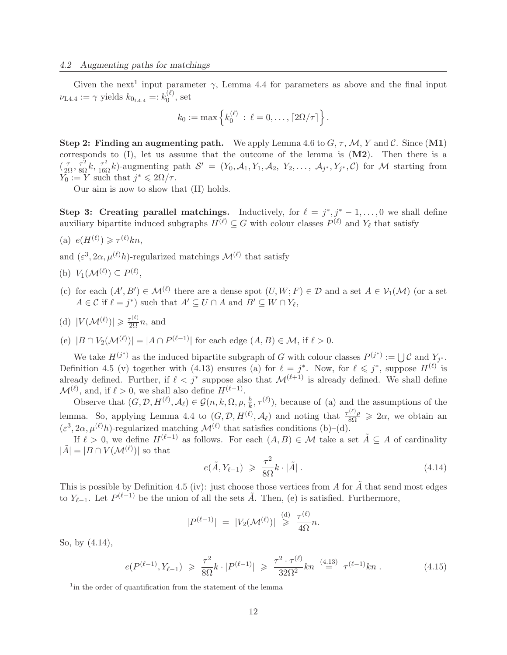Given the next<sup>1</sup> input parameter  $\gamma$ , Lemma 4.4 for parameters as above and the final input  $\nu_{\text{L4.4}} := \gamma \text{ yields } k_{0_{\text{L4.4}}} =: k_0^{(\ell)}$  $\mathfrak{b}^{(\varepsilon)}$ , set

$$
k_0 := \max \left\{ k_0^{(\ell)} : \ell = 0, ..., \lceil 2\Omega/\tau \rceil \right\}.
$$

Step 2: Finding an augmenting path. We apply Lemma 4.6 to  $G, \tau, \mathcal{M}, Y$  and C. Since  $(M1)$ corresponds to  $(I)$ , let us assume that the outcome of the lemma is  $(M2)$ . Then there is a  $\left(\frac{\tau}{2\Omega}, \frac{\tau^2}{8\Omega}k, \frac{\tau^2}{16\Omega}k\right)$ -augmenting path  $\mathcal{S}' = (Y_0, \mathcal{A}_1, Y_1, \mathcal{A}_2, Y_2, \dots, \mathcal{A}_{j^*}, Y_{j^*}, \mathcal{C})$  for M starting from  $Y_0 := Y$  such that  $j^* \leqslant 2\Omega/\tau$ .

Our aim is now to show that (II) holds.

Step 3: Creating parallel matchings. Inductively, for  $\ell = j^*, j^* - 1, \ldots, 0$  we shall define auxiliary bipartite induced subgraphs  $H^{(\ell)} \subseteq G$  with colour classes  $P^{(\ell)}$  and  $Y_{\ell}$  that satisfy

(a)  $e(H^{(\ell)}) \geqslant \tau^{(\ell)} k n$ ,

and  $(\varepsilon^3, 2\alpha, \mu^{(\ell)}h)$ -regularized matchings  $\mathcal{M}^{(\ell)}$  that satisfy

- (b)  $V_1(\mathcal{M}^{(\ell)}) \subseteq P^{(\ell)},$
- (c) for each  $(A', B') \in \mathcal{M}^{(\ell)}$  there are a dense spot  $(U, W; F) \in \mathcal{D}$  and a set  $A \in \mathcal{V}_1(\mathcal{M})$  (or a set  $A \in \mathcal{C}$  if  $\ell = j^*$ ) such that  $A' \subseteq U \cap A$  and  $B' \subseteq W \cap Y_{\ell}$ ,
- (d)  $|V(\mathcal{M}^{(\ell)})| \ge \frac{\tau^{(\ell)}}{2\Omega}n$ , and
- (e)  $|B \cap V_2(\mathcal{M}^{(\ell)})| = |A \cap P^{(\ell-1)}|$  for each edge  $(A, B) \in \mathcal{M}$ , if  $\ell > 0$ .

We take  $H^{(j^*)}$  as the induced bipartite subgraph of G with colour classes  $P^{(j^*)} := \bigcup \mathcal{C}$  and  $Y_{j^*}$ . Definition 4.5 (v) together with (4.13) ensures (a) for  $\ell = j^*$ . Now, for  $\ell \leq j^*$ , suppose  $H^{(\ell)}$  is already defined. Further, if  $\ell < j^*$  suppose also that  $\mathcal{M}^{(\ell+1)}$  is already defined. We shall define  $\mathcal{M}^{(\ell)}$ , and, if  $\ell > 0$ , we shall also define  $H^{(\ell-1)}$ .

Observe that  $(G, \mathcal{D}, H^{(\ell)}, \mathcal{A}_{\ell}) \in \mathcal{G}(n, k, \Omega, \rho, \frac{h}{k}, \tau^{(\ell)})$ , because of (a) and the assumptions of the lemma. So, applying Lemma 4.4 to  $(G, \mathcal{D}, H^{(\ell)}, \mathcal{A}_{\ell})$  and noting that  $\frac{\tau^{(\ell)}\rho}{8\Omega} \geq 2\alpha$ , we obtain an  $(\varepsilon^3, 2\alpha, \mu^{(\ell)}h)$ -regularized matching  $\mathcal{M}^{(\ell)}$  that satisfies conditions (b)–(d).

If  $\ell > 0$ , we define  $H^{(\ell-1)}$  as follows. For each  $(A, B) \in \mathcal{M}$  take a set  $\tilde{A} \subseteq A$  of cardinality  $|\tilde{A}| = |B \cap V(\mathcal{M}^{(\ell)})|$  so that

$$
e(\tilde{A}, Y_{\ell-1}) \geqslant \frac{\tau^2}{8\Omega} k \cdot |\tilde{A}| \,. \tag{4.14}
$$

This is possible by Definition 4.5 (iv): just choose those vertices from A for  $\tilde{A}$  that send most edges to  $Y_{\ell-1}$ . Let  $P^{(\ell-1)}$  be the union of all the sets  $\tilde{A}$ . Then, (e) is satisfied. Furthermore,

$$
|P^{(\ell-1)}| = |V_2(\mathcal{M}^{(\ell)})| \stackrel{\text{(d)}}{\geq} \frac{\tau^{(\ell)}}{4\Omega} n.
$$

So, by (4.14),

$$
e(P^{(\ell-1)}, Y_{\ell-1}) \geq \frac{\tau^2}{8\Omega} k \cdot |P^{(\ell-1)}| \geq \frac{\tau^2 \cdot \tau^{(\ell)}}{32\Omega^2} k n \stackrel{(4.13)}{=} \tau^{(\ell-1)} k n . \tag{4.15}
$$

<sup>&</sup>lt;sup>1</sup> in the order of quantification from the statement of the lemma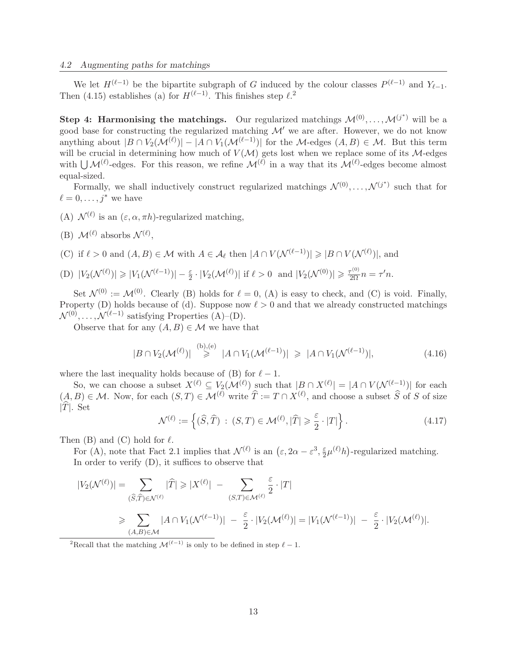We let  $H^{(\ell-1)}$  be the bipartite subgraph of G induced by the colour classes  $P^{(\ell-1)}$  and  $Y_{\ell-1}$ . Then (4.15) establishes (a) for  $H^{(\ell-1)}$ . This finishes step  $\ell$ <sup>2</sup>

**Step 4: Harmonising the matchings.** Our regularized matchings  $\mathcal{M}^{(0)}, \ldots, \mathcal{M}^{(j^*)}$  will be a good base for constructing the regularized matching  $\mathcal{M}'$  we are after. However, we do not know anything about  $|B \cap V_2(\mathcal{M}^{(\ell)})| - |A \cap V_1(\mathcal{M}^{(\ell-1)})|$  for the M-edges  $(A, B) \in \mathcal{M}$ . But this term will be crucial in determining how much of  $V(M)$  gets lost when we replace some of its M-edges with  $\bigcup \mathcal{M}^{(\ell)}$ -edges. For this reason, we refine  $\mathcal{M}^{(\ell)}$  in a way that its  $\mathcal{M}^{(\ell)}$ -edges become almost equal-sized.

Formally, we shall inductively construct regularized matchings  $\mathcal{N}^{(0)}, \ldots, \mathcal{N}^{(j^*)}$  such that for  $\ell = 0, \ldots, i^*$  we have

- (A)  $\mathcal{N}^{(\ell)}$  is an  $(\varepsilon, \alpha, \pi h)$ -regularized matching,
- (B)  $\mathcal{M}^{(\ell)}$  absorbs  $\mathcal{N}^{(\ell)}$ ,
- (C) if  $\ell > 0$  and  $(A, B) \in \mathcal{M}$  with  $A \in \mathcal{A}_{\ell}$  then  $|A \cap V(\mathcal{N}^{(\ell-1)})| \geq |B \cap V(\mathcal{N}^{(\ell)})|$ , and

(D) 
$$
|V_2(\mathcal{N}^{(\ell)})| \geq |V_1(\mathcal{N}^{(\ell-1)})| - \frac{\varepsilon}{2} \cdot |V_2(\mathcal{M}^{(\ell)})|
$$
 if  $\ell > 0$  and  $|V_2(\mathcal{N}^{(0)})| \geq \frac{\tau^{(0)}}{2\Omega} n = \tau' n$ .

Set  $\mathcal{N}^{(0)} := \mathcal{M}^{(0)}$ . Clearly (B) holds for  $\ell = 0$ , (A) is easy to check, and (C) is void. Finally, Property (D) holds because of (d). Suppose now  $\ell > 0$  and that we already constructed matchings  $\mathcal{N}^{(0)}, \ldots, \mathcal{N}^{(\ell-1)}$  satisfying Properties (A)–(D).

Observe that for any  $(A, B) \in \mathcal{M}$  we have that

$$
|B \cap V_2(\mathcal{M}^{(\ell)})| \stackrel{\text{(b)},\text{(e)}}{\geq} |A \cap V_1(\mathcal{M}^{(\ell-1)})| \geq |A \cap V_1(\mathcal{N}^{(\ell-1)})|,
$$
\n
$$
(4.16)
$$

where the last inequality holds because of (B) for  $\ell - 1$ .

So, we can choose a subset  $X^{(\ell)} \subseteq V_2(\mathcal{M}^{(\ell)})$  such that  $|B \cap X^{(\ell)}| = |A \cap V(\mathcal{N}^{(\ell-1)})|$  for each  $(A, B) \in \mathcal{M}$ . Now, for each  $(S, T) \in \mathcal{M}^{(\ell)}$  write  $\hat{T} := T \cap X^{(\ell)}$ , and choose a subset  $\hat{S}$  of S of size  $|T|$ . Set

$$
\mathcal{N}^{(\ell)} := \left\{ (\widehat{S}, \widehat{T}) \, : \, (S, T) \in \mathcal{M}^{(\ell)}, |\widehat{T}| \geqslant \frac{\varepsilon}{2} \cdot |T| \right\}. \tag{4.17}
$$

Then  $(B)$  and  $(C)$  hold for  $\ell$ .

For (A), note that Fact 2.1 implies that  $\mathcal{N}^{(\ell)}$  is an  $(\varepsilon, 2\alpha - \varepsilon^3, \frac{\varepsilon}{2})$  $\frac{\varepsilon}{2}\mu^{(\ell)}h$ )-regularized matching. In order to verify (D), it suffices to observe that

$$
|V_2(\mathcal{N}^{(\ell)})| = \sum_{(\widehat{S},\widehat{T}) \in \mathcal{N}^{(\ell)}} |\widehat{T}| \geq |X^{(\ell)}| - \sum_{(S,T) \in \mathcal{M}^{(\ell)}} \frac{\varepsilon}{2} \cdot |T|
$$
  
\$\geqslant \sum\_{(A,B) \in \mathcal{M}} |A \cap V\_1(\mathcal{N}^{(\ell-1)})| - \frac{\varepsilon}{2} \cdot |V\_2(\mathcal{M}^{(\ell)})| = |V\_1(\mathcal{N}^{(\ell-1)})| - \frac{\varepsilon}{2} \cdot |V\_2(\mathcal{M}^{(\ell)})|.

<sup>2</sup>Recall that the matching  $\mathcal{M}^{(\ell-1)}$  is only to be defined in step  $\ell-1$ .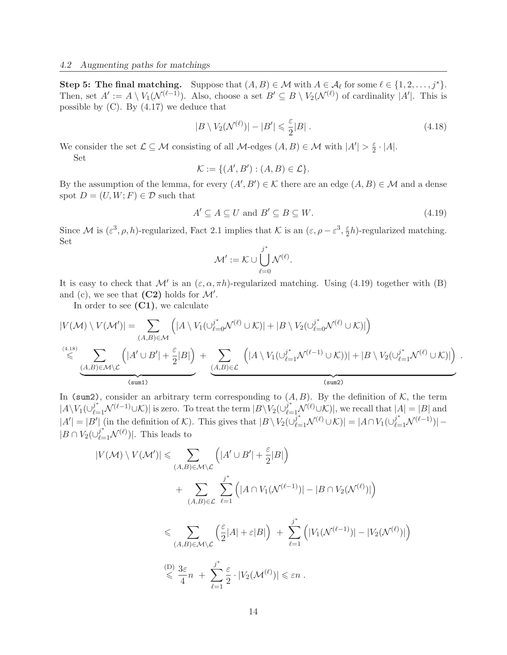Step 5: The final matching. Suppose that  $(A, B) \in \mathcal{M}$  with  $A \in \mathcal{A}_{\ell}$  for some  $\ell \in \{1, 2, ..., j^*\}$ . Then, set  $A' := A \setminus V_1(\mathcal{N}^{(\ell-1)})$ . Also, choose a set  $B' \subseteq B \setminus V_2(\mathcal{N}^{(\ell)})$  of cardinality  $|A'|$ . This is possible by  $(C)$ . By  $(4.17)$  we deduce that

$$
|B \setminus V_2(\mathcal{N}^{(\ell)})| - |B'| \leq \frac{\varepsilon}{2}|B| \tag{4.18}
$$

We consider the set  $\mathcal{L} \subseteq \mathcal{M}$  consisting of all  $\mathcal{M}$ -edges  $(A, B) \in \mathcal{M}$  with  $|A'| > \frac{\varepsilon}{2}$  $\frac{\varepsilon}{2} \cdot |A|.$ Set

$$
\mathcal{K} := \{ (A', B') : (A, B) \in \mathcal{L} \}.
$$

By the assumption of the lemma, for every  $(A', B') \in \mathcal{K}$  there are an edge  $(A, B) \in \mathcal{M}$  and a dense spot  $D = (U, W; F) \in \mathcal{D}$  such that

$$
A' \subseteq A \subseteq U \text{ and } B' \subseteq B \subseteq W. \tag{4.19}
$$

Since M is  $(\varepsilon^3, \rho, h)$ -regularized, Fact 2.1 implies that K is an  $(\varepsilon, \rho - \varepsilon^3, \frac{\varepsilon}{2})$  $\frac{\varepsilon}{2}h$ )-regularized matching. Set

$$
\mathcal{M}':=\mathcal{K}\cup\bigcup_{\ell=0}^{j^*}\mathcal{N}^{(\ell)}.
$$

It is easy to check that  $\mathcal{M}'$  is an  $(\varepsilon, \alpha, \pi h)$ -regularized matching. Using (4.19) together with (B) and (c), we see that  $(C2)$  holds for  $\mathcal{M}'$ .

In order to see  $(C1)$ , we calculate

$$
|V(\mathcal{M}) \setminus V(\mathcal{M}')| = \sum_{(A,B)\in\mathcal{M}} \left( |A \setminus V_1(\cup_{\ell=0}^{j^*} \mathcal{N}^{(\ell)} \cup \mathcal{K})| + |B \setminus V_2(\cup_{\ell=0}^{j^*} \mathcal{N}^{(\ell)} \cup \mathcal{K})| \right)
$$
  
\n
$$
\leq \sum_{\substack{(A,B)\in\mathcal{M}\setminus\mathcal{L}}} \left( |A' \cup B'| + \frac{\varepsilon}{2}|B| \right) + \sum_{\substack{(A,B)\in\mathcal{L}}} \left( |A \setminus V_1(\cup_{\ell=1}^{j^*} \mathcal{N}^{(\ell-1)} \cup \mathcal{K})| + |B \setminus V_2(\cup_{\ell=1}^{j^*} \mathcal{N}^{(\ell)} \cup \mathcal{K})| \right).
$$

In (sum2), consider an arbitrary term corresponding to  $(A, B)$ . By the definition of K, the term  $|A \setminus V_1(\cup_{\ell=1}^{i^*} \mathcal{N}^{(\ell-1)} \cup \mathcal{K})|$  is zero. To treat the term  $|B \setminus V_2(\cup_{\ell=1}^{i^*} \mathcal{N}^{(\ell)} \cup \mathcal{K})|$ , we recall that  $|A| = |B|$  and  $|A'| = |B'|$  (in the definition of K). This gives that  $|B \setminus V_2(\cup_{\ell=1}^{j^*} \mathcal{N}^{(\ell)} \cup \mathcal{K})| = |A \cap V_1(\cup_{\ell=1}^{j^*} \mathcal{N}^{(\ell-1)})|$  $|B \cap V_2(\cup_{\ell=1}^{j^*} \mathcal{N}^{(\ell)})|$ . This leads to

$$
|V(\mathcal{M}) \setminus V(\mathcal{M}')| \leq \sum_{(A,B)\in\mathcal{M}\setminus\mathcal{L}} \left( |A' \cup B'| + \frac{\varepsilon}{2}|B| \right)
$$
  
+ 
$$
\sum_{(A,B)\in\mathcal{L}} \sum_{\ell=1}^{j^*} \left( |A \cap V_1(\mathcal{N}^{(\ell-1)})| - |B \cap V_2(\mathcal{N}^{(\ell)})| \right)
$$
  

$$
\leq \sum_{(A,B)\in\mathcal{M}\setminus\mathcal{L}} \left( \frac{\varepsilon}{2}|A| + \varepsilon|B| \right) + \sum_{\ell=1}^{j^*} \left( |V_1(\mathcal{N}^{(\ell-1)})| - |V_2(\mathcal{N}^{(\ell)})| \right)
$$
  

$$
\stackrel{\text{(D)}{\leq} \frac{3\varepsilon}{4}n + \sum_{\ell=1}^{j^*} \frac{\varepsilon}{2} \cdot |V_2(\mathcal{M}^{(\ell)})| \leq \varepsilon n.
$$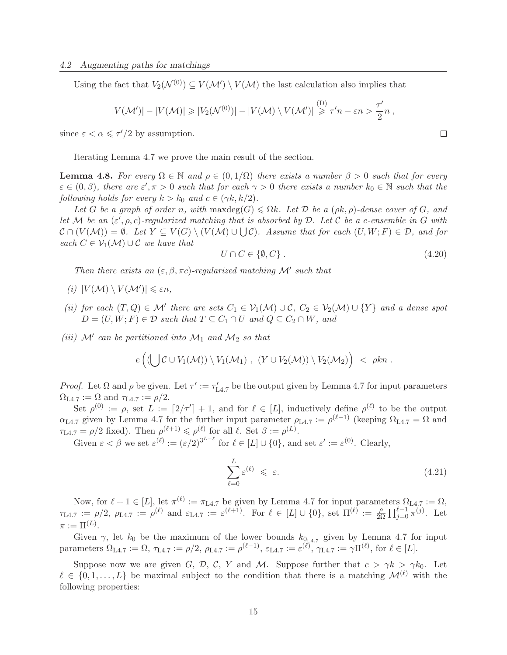Using the fact that  $V_2(\mathcal{N}^{(0)}) \subseteq V(\mathcal{M}') \setminus V(\mathcal{M})$  the last calculation also implies that

$$
|V(\mathcal{M}')| - |V(\mathcal{M})| \geq |V_2(\mathcal{N}^{(0)})| - |V(\mathcal{M}) \setminus V(\mathcal{M}')| \overset{(\mathcal{D})}{\geq} \tau' n - \varepsilon n > \frac{\tau'}{2}n,
$$

since  $\varepsilon < \alpha \leq \tau'/2$  by assumption.

Iterating Lemma 4.7 we prove the main result of the section.

**Lemma 4.8.** For every  $\Omega \in \mathbb{N}$  and  $\rho \in (0, 1/\Omega)$  there exists a number  $\beta > 0$  such that for every  $\varepsilon \in (0, \beta)$ , there are  $\varepsilon', \pi > 0$  such that for each  $\gamma > 0$  there exists a number  $k_0 \in \mathbb{N}$  such that the following holds for every  $k > k_0$  and  $c \in (\gamma k, k/2)$ .

Let G be a graph of order n, with maxdeg(G)  $\leq \Omega k$ . Let D be a ( $\rho k$ ,  $\rho$ )-dense cover of G, and let M be an  $(\varepsilon', \rho, c)$ -regularized matching that is absorbed by D. Let C be a c-ensemble in G with  $\mathcal{C} \cap (V(\mathcal{M})) = \emptyset$ . Let  $Y \subseteq V(G) \setminus (V(\mathcal{M}) \cup \bigcup \mathcal{C})$ . Assume that for each  $(U, W; F) \in \mathcal{D}$ , and for each  $C \in \mathcal{V}_1(\mathcal{M}) \cup \mathcal{C}$  we have that

$$
U \cap C \in \{\emptyset, C\} \tag{4.20}
$$

Then there exists an  $(\varepsilon, \beta, \pi c)$ -regularized matching M' such that

- (i)  $|V(\mathcal{M}) \setminus V(\mathcal{M}')| \leq \varepsilon n$ ,
- (ii) for each  $(T, Q) \in \mathcal{M}'$  there are sets  $C_1 \in \mathcal{V}_1(\mathcal{M}) \cup \mathcal{C}, C_2 \in \mathcal{V}_2(\mathcal{M}) \cup \{Y\}$  and a dense spot  $D = (U, W; F) \in \mathcal{D}$  such that  $T \subseteq C_1 \cap U$  and  $Q \subseteq C_2 \cap W$ , and
- (iii)  $\mathcal{M}'$  can be partitioned into  $\mathcal{M}_1$  and  $\mathcal{M}_2$  so that

$$
e\left((\bigcup \mathcal{C} \cup V_1(\mathcal{M})) \setminus V_1(\mathcal{M}_1) , (Y \cup V_2(\mathcal{M})) \setminus V_2(\mathcal{M}_2) \right) < \rho kn.
$$

Proof. Let  $\Omega$  and  $\rho$  be given. Let  $\tau' := \tau'_{L4.7}$  be the output given by Lemma 4.7 for input parameters  $\Omega_{\text{L4.7}} := \Omega$  and  $\tau_{\text{L4.7}} := \rho/2$ .

Set  $\rho^{(0)} := \rho$ , set  $L := [2/\tau'] + 1$ , and for  $\ell \in [L]$ , inductively define  $\rho^{(\ell)}$  to be the output  $\alpha_{\text{L4.7}}$  given by Lemma 4.7 for the further input parameter  $\rho_{\text{L4.7}} := \rho^{(\ell-1)}$  (keeping  $\Omega_{\text{L4.7}} = \Omega$  and  $\tau_{L4.7} = \rho/2$  fixed). Then  $\rho^{(\ell+1)} \leqslant \rho^{(\ell)}$  for all  $\ell$ . Set  $\beta := \rho^{(L)}$ .

Given  $\varepsilon < \beta$  we set  $\varepsilon^{(\ell)} := (\varepsilon/2)^{3^{L-\ell}}$  for  $\ell \in [L] \cup \{0\}$ , and set  $\varepsilon' := \varepsilon^{(0)}$ . Clearly,

$$
\sum_{\ell=0}^{L} \varepsilon^{(\ell)} \leqslant \varepsilon. \tag{4.21}
$$

Now, for  $\ell + 1 \in [L]$ , let  $\pi^{(\ell)} := \pi_{L4.7}$  be given by Lemma 4.7 for input parameters  $\Omega_{L4.7} := \Omega$ ,  $\tau_{L4.7} := \rho/2, \ \rho_{L4.7} := \rho^{(\ell)}$  and  $\varepsilon_{L4.7} := \varepsilon^{(\ell+1)}$ . For  $\ell \in [L] \cup \{0\}$ , set  $\Pi^{(\ell)} := \frac{\rho}{2\ell}$  $\frac{\rho}{2\Omega} \prod_{j=0}^{\ell-1} \pi^{(j)}$ . Let  $\pi := \Pi^{(L)}$ .

Given  $\gamma$ , let  $k_0$  be the maximum of the lower bounds  $k_{0L4.7}$  given by Lemma 4.7 for input parameters  $\Omega_{\text{L4.7}} := \Omega$ ,  $\tau_{\text{L4.7}} := \rho/2$ ,  $\rho_{\text{L4.7}} := \rho^{(\ell-1)}$ ,  $\varepsilon_{\text{L4.7}} := \varepsilon^{(\ell)}$ ,  $\gamma_{\text{L4.7}} := \gamma \Pi^{(\ell)}$ , for  $\ell \in [L]$ .

Suppose now we are given G, D, C, Y and M. Suppose further that  $c > \gamma k > \gamma k_0$ . Let  $\ell \in \{0, 1, \ldots, L\}$  be maximal subject to the condition that there is a matching  $\mathcal{M}^{(\ell)}$  with the following properties:

 $\Box$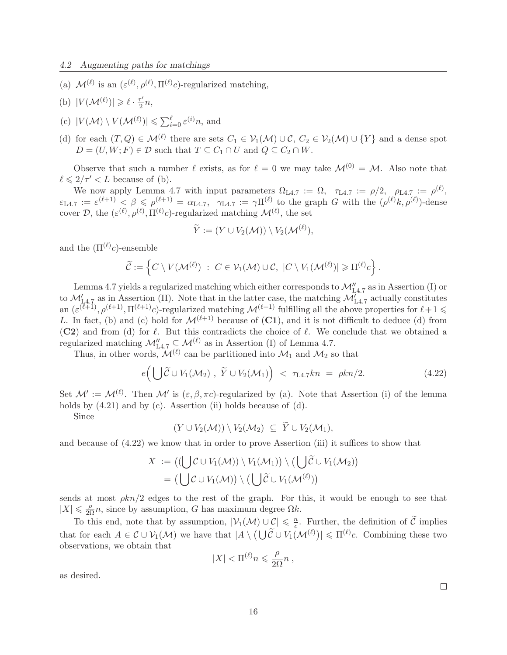(a)  $\mathcal{M}^{(\ell)}$  is an  $(\varepsilon^{(\ell)}, \rho^{(\ell)}, \Pi^{(\ell)}c)$ -regularized matching,

(b) 
$$
|V(\mathcal{M}^{(\ell)})| \ge \ell \cdot \frac{\tau'}{2}n
$$
,

- (c)  $|V(\mathcal{M}) \setminus V(\mathcal{M}^{(\ell)})| \leqslant \sum_{i=0}^{\ell} \varepsilon^{(i)} n$ , and
- (d) for each  $(T, Q) \in \mathcal{M}^{(\ell)}$  there are sets  $C_1 \in \mathcal{V}_1(\mathcal{M}) \cup \mathcal{C}, C_2 \in \mathcal{V}_2(\mathcal{M}) \cup \{Y\}$  and a dense spot  $D = (U, W; F) \in \mathcal{D}$  such that  $T \subseteq C_1 \cap U$  and  $Q \subseteq C_2 \cap W$ .

Observe that such a number  $\ell$  exists, as for  $\ell = 0$  we may take  $\mathcal{M}^{(0)} = \mathcal{M}$ . Also note that  $\ell \leq 2/\tau' < L$  because of (b).

We now apply Lemma 4.7 with input parameters  $\Omega_{\text{L4.7}} := \Omega$ ,  $\tau_{\text{L4.7}} := \rho/2$ ,  $\rho_{\text{L4.7}} := \rho^{(\ell)}$ ,  $\varepsilon_{\text{L4.7}} := \varepsilon^{(\ell+1)} < \beta \leqslant \rho^{(\ell+1)} = \alpha_{\text{L4.7}}, \quad \gamma_{\text{L4.7}} := \gamma \Pi^{(\ell)}$  to the graph G with the  $(\rho^{(\ell)}k, \rho^{(\ell)})$ -dense cover D, the  $(\varepsilon^{(\ell)}, \rho^{(\ell)}, \Pi^{(\ell)}c)$ -regularized matching  $\mathcal{M}^{(\ell)}$ , the set

$$
\widetilde{Y} := (Y \cup V_2(\mathcal{M})) \setminus V_2(\mathcal{M}^{(\ell)}),
$$

and the  $(\Pi^{(\ell)}c)$ -ensemble

$$
\widetilde{\mathcal{C}} := \left\{ C \setminus V(\mathcal{M}^{(\ell)}) \ : \ C \in \mathcal{V}_1(\mathcal{M}) \cup \mathcal{C}, \ |C \setminus V_1(\mathcal{M}^{(\ell)})| \geqslant \Pi^{(\ell)}c \right\}.
$$

Lemma 4.7 yields a regularized matching which either corresponds to  $\mathcal{M}''_{L4.7}$  as in Assertion (I) or to  $\mathcal{M}'_{L4.7}$  as in Assertion (II). Note that in the latter case, the matching  $\mathcal{M}'_{L4.7}$  actually constitutes an  $(\varepsilon^{(\ell+1)}, \rho^{(\ell+1)}, \Pi^{(\ell+1)}c)$ -regularized matching  $\mathcal{M}^{(\ell+1)}$  fulfilling all the above properties for  $\ell+1 \leq$ L. In fact, (b) and (c) hold for  $\mathcal{M}^{(\ell+1)}$  because of (C1), and it is not difficult to deduce (d) from (C2) and from (d) for  $\ell$ . But this contradicts the choice of  $\ell$ . We conclude that we obtained a regularized matching  $\mathcal{M}_{\text{L4.7}}'' \subseteq \mathcal{M}^{(\ell)}$  as in Assertion (I) of Lemma 4.7.

Thus, in other words,  $\mathcal{M}^{(\ell)}$  can be partitioned into  $\mathcal{M}_1$  and  $\mathcal{M}_2$  so that

$$
e\left(\bigcup \widetilde{C} \cup V_1(\mathcal{M}_2), \ \widetilde{Y} \cup V_2(\mathcal{M}_1)\right) < \tau_{\text{L}4.7}kn = \rho kn/2. \tag{4.22}
$$

Set  $\mathcal{M}' := \mathcal{M}^{(\ell)}$ . Then  $\mathcal{M}'$  is  $(\varepsilon, \beta, \pi c)$ -regularized by (a). Note that Assertion (i) of the lemma holds by  $(4.21)$  and by  $(c)$ . Assertion (ii) holds because of  $(d)$ .

Since

$$
(Y\cup V_2(\mathcal{M}))\setminus V_2(\mathcal{M}_2)\subseteq Y\cup V_2(\mathcal{M}_1),
$$

and because of (4.22) we know that in order to prove Assertion (iii) it suffices to show that

$$
X := ((\bigcup \mathcal{C} \cup V_1(\mathcal{M})) \setminus V_1(\mathcal{M}_1)) \setminus (\bigcup \widetilde{\mathcal{C}} \cup V_1(\mathcal{M}_2))
$$
  
= (\bigcup \mathcal{C} \cup V\_1(\mathcal{M})) \setminus (\bigcup \widetilde{\mathcal{C}} \cup V\_1(\mathcal{M}^{(\ell)}))

sends at most  $\rho kn/2$  edges to the rest of the graph. For this, it would be enough to see that  $|X| \leq \frac{\rho}{2\Omega}n$ , since by assumption, G has maximum degree  $\Omega k$ .

To this end, note that by assumption,  $|\mathcal{V}_1(\mathcal{M}) \cup \mathcal{C}| \leq \frac{n}{c}$  $\frac{n}{c}$ . Further, the definition of C implies that for each  $A \in \mathcal{C} \cup \mathcal{V}_1(\mathcal{M})$  we have that  $|A \setminus (\bigcup \widetilde{\mathcal{C}} \cup V_1(\mathcal{M}^{(\ell)})| \leq \Pi^{(\ell)}c$ . Combining these two observations, we obtain that

$$
|X|<\Pi^{(\ell)} n\leqslant \frac{\rho}{2\Omega} n\;,
$$

as desired.

 $\Box$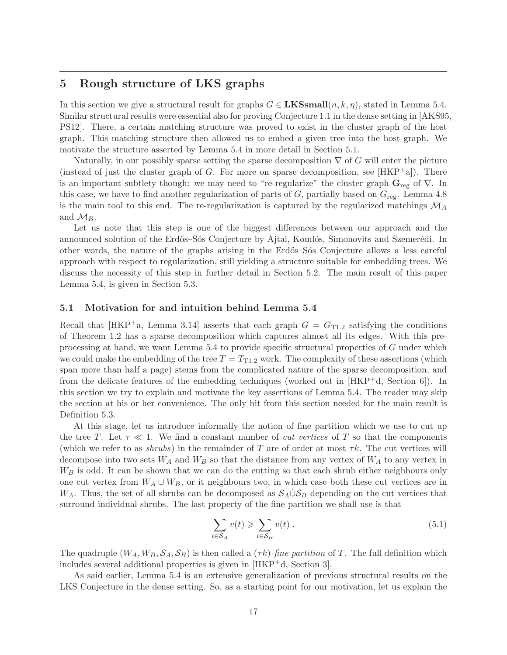# 5 Rough structure of LKS graphs

In this section we give a structural result for graphs  $G \in \mathbf{LKSsmall}(n, k, \eta)$ , stated in Lemma 5.4. Similar structural results were essential also for proving Conjecture 1.1 in the dense setting in [AKS95, PS12]. There, a certain matching structure was proved to exist in the cluster graph of the host graph. This matching structure then allowed us to embed a given tree into the host graph. We motivate the structure asserted by Lemma 5.4 in more detail in Section 5.1.

Naturally, in our possibly sparse setting the sparse decomposition  $\nabla$  of G will enter the picture (instead of just the cluster graph of G. For more on sparse decomposition, see  $[HKP^+a]$ ). There is an important subtlety though: we may need to "re-regularize" the cluster graph  $\mathbf{G}_{reg}$  of  $\nabla$ . In this case, we have to find another regularization of parts of  $G$ , partially based on  $G_{\text{reg}}$ . Lemma 4.8 is the main tool to this end. The re-regularization is captured by the regularized matchings  $\mathcal{M}_A$ and  $\mathcal{M}_B$ .

Let us note that this step is one of the biggest differences between our approach and the announced solution of the Erdős–Sós Conjecture by Ajtai, Komlós, Simonovits and Szemerédi. In other words, the nature of the graphs arising in the Erdős–Sós Conjecture allows a less careful approach with respect to regularization, still yielding a structure suitable for embedding trees. We discuss the necessity of this step in further detail in Section 5.2. The main result of this paper Lemma 5.4, is given in Section 5.3.

### 5.1 Motivation for and intuition behind Lemma 5.4

Recall that  $[HKP^+a, \text{ Lemma } 3.14]$  asserts that each graph  $G = G_{T1,2}$  satisfying the conditions of Theorem 1.2 has a sparse decomposition which captures almost all its edges. With this preprocessing at hand, we want Lemma 5.4 to provide specific structural properties of G under which we could make the embedding of the tree  $T = T_{T1,2}$  work. The complexity of these assertions (which span more than half a page) stems from the complicated nature of the sparse decomposition, and from the delicate features of the embedding techniques (worked out in [HKP+d, Section 6]). In this section we try to explain and motivate the key assertions of Lemma 5.4. The reader may skip the section at his or her convenience. The only bit from this section needed for the main result is Definition 5.3.

At this stage, let us introduce informally the notion of fine partition which we use to cut up the tree T. Let  $\tau \ll 1$ . We find a constant number of *cut vertices* of T so that the components (which we refer to as shrubs) in the remainder of T are of order at most  $\tau k$ . The cut vertices will decompose into two sets  $W_A$  and  $W_B$  so that the distance from any vertex of  $W_A$  to any vertex in  $W_B$  is odd. It can be shown that we can do the cutting so that each shrub either neighbours only one cut vertex from  $W_A \cup W_B$ , or it neighbours two, in which case both these cut vertices are in W<sub>A</sub>. Thus, the set of all shrubs can be decomposed as  $S_A \dot{\cup} S_B$  depending on the cut vertices that surround individual shrubs. The last property of the fine partition we shall use is that

$$
\sum_{t \in S_A} v(t) \geqslant \sum_{t \in S_B} v(t) \tag{5.1}
$$

The quadruple  $(W_A, W_B, \mathcal{S}_A, \mathcal{S}_B)$  is then called a  $(\tau k)$ -fine partition of T. The full definition which includes several additional properties is given in [HKP+d, Section 3].

As said earlier, Lemma 5.4 is an extensive generalization of previous structural results on the LKS Conjecture in the dense setting. So, as a starting point for our motivation, let us explain the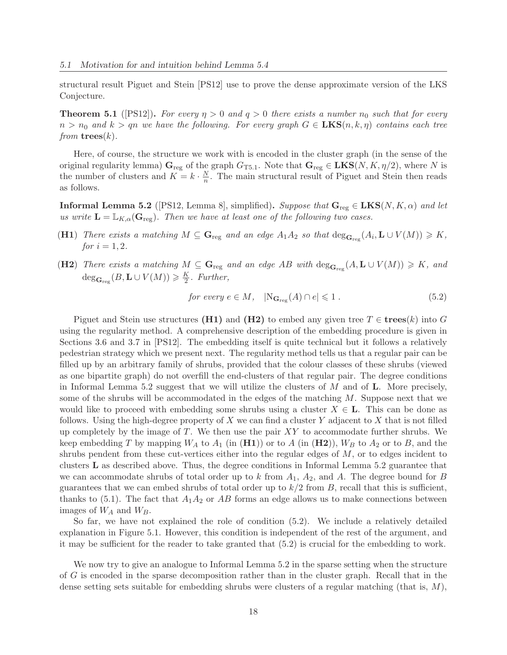structural result Piguet and Stein [PS12] use to prove the dense approximate version of the LKS Conjecture.

**Theorem 5.1** ([PS12]). For every  $\eta > 0$  and  $q > 0$  there exists a number  $n_0$  such that for every  $n > n_0$  and  $k > q$ n we have the following. For every graph  $G \in LKS(n, k, \eta)$  contains each tree from  $\mathbf{trees}(k)$ .

Here, of course, the structure we work with is encoded in the cluster graph (in the sense of the original regularity lemma)  $G_{reg}$  of the graph  $G_{T5.1}$ . Note that  $G_{reg} \in LKS(N, K, \eta/2)$ , where N is the number of clusters and  $K = k \cdot \frac{N}{n}$  $\frac{N}{n}$ . The main structural result of Piguet and Stein then reads as follows.

**Informal Lemma 5.2** ([PS12, Lemma 8], simplified). Suppose that  $\mathbf{G}_{reg} \in \mathbf{LKS}(N, K, \alpha)$  and let us write  $\mathbf{L} = \mathbb{L}_{K,\alpha}(\mathbf{G}_{\text{reg}})$ . Then we have at least one of the following two cases.

- (H1) There exists a matching  $M \subseteq \mathbf{G}_{reg}$  and an edge  $A_1A_2$  so that  $\deg_{\mathbf{G}_{reg}}(A_i, \mathbf{L} \cup V(M)) \geq K$ , *for*  $i = 1, 2$ .
- (H2) There exists a matching  $M \subseteq \mathbf{G}_{reg}$  and an edge AB with  $\deg_{\mathbf{G}_{reg}}(A, \mathbf{L} \cup V(M)) \geqslant K$ , and  $\deg_{\mathbf{G}_{\text{reg}}}(B, \mathbf{L} \cup V(M)) \geqslant \frac{K}{2}$  $\frac{\kappa}{2}$ . Further,

for every 
$$
e \in M
$$
,  $|\mathcal{N}_{\mathbf{G}_{\text{reg}}}(A) \cap e| \leq 1$ . (5.2)

Piguet and Stein use structures (H1) and (H2) to embed any given tree  $T \in \text{trees}(k)$  into G using the regularity method. A comprehensive description of the embedding procedure is given in Sections 3.6 and 3.7 in [PS12]. The embedding itself is quite technical but it follows a relatively pedestrian strategy which we present next. The regularity method tells us that a regular pair can be filled up by an arbitrary family of shrubs, provided that the colour classes of these shrubs (viewed as one bipartite graph) do not overfill the end-clusters of that regular pair. The degree conditions in Informal Lemma 5.2 suggest that we will utilize the clusters of  $M$  and of  $L$ . More precisely, some of the shrubs will be accommodated in the edges of the matching  $M$ . Suppose next that we would like to proceed with embedding some shrubs using a cluster  $X \in L$ . This can be done as follows. Using the high-degree property of X we can find a cluster Y adjacent to X that is not filled up completely by the image of  $T$ . We then use the pair  $XY$  to accommodate further shrubs. We keep embedding T by mapping  $W_A$  to  $A_1$  (in  $(H1)$ ) or to A (in  $(H2)$ ),  $W_B$  to  $A_2$  or to B, and the shrubs pendent from these cut-vertices either into the regular edges of M, or to edges incident to clusters L as described above. Thus, the degree conditions in Informal Lemma 5.2 guarantee that we can accommodate shrubs of total order up to k from  $A_1$ ,  $A_2$ , and A. The degree bound for B guarantees that we can embed shrubs of total order up to  $k/2$  from B, recall that this is sufficient, thanks to (5.1). The fact that  $A_1A_2$  or AB forms an edge allows us to make connections between images of  $W_A$  and  $W_B$ .

So far, we have not explained the role of condition (5.2). We include a relatively detailed explanation in Figure 5.1. However, this condition is independent of the rest of the argument, and it may be sufficient for the reader to take granted that (5.2) is crucial for the embedding to work.

We now try to give an analogue to Informal Lemma 5.2 in the sparse setting when the structure of G is encoded in the sparse decomposition rather than in the cluster graph. Recall that in the dense setting sets suitable for embedding shrubs were clusters of a regular matching (that is,  $M$ ),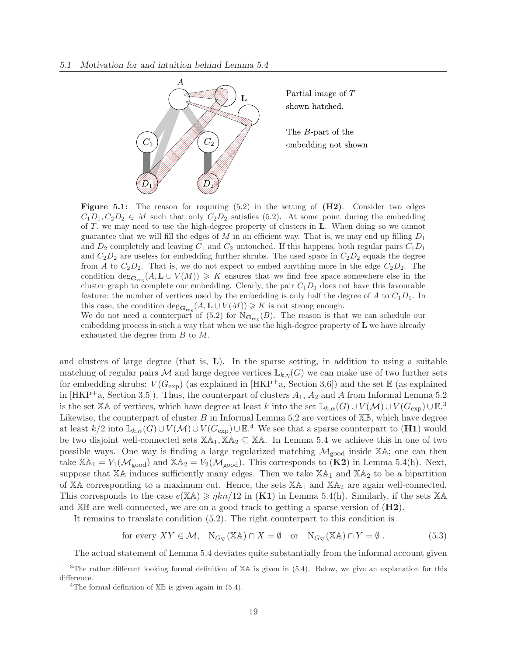

**Figure 5.1:** The reason for requiring  $(5.2)$  in the setting of  $(H2)$ . Consider two edges  $C_1D_1, C_2D_2 \in M$  such that only  $C_2D_2$  satisfies (5.2). At some point during the embedding of T, we may need to use the high-degree property of clusters in L. When doing so we cannot guarantee that we will fill the edges of  $M$  in an efficient way. That is, we may end up filling  $D_1$ and  $D_2$  completely and leaving  $C_1$  and  $C_2$  untouched. If this happens, both regular pairs  $C_1D_1$ and  $C_2D_2$  are useless for embedding further shrubs. The used space in  $C_2D_2$  equals the degree from A to  $C_2D_2$ . That is, we do not expect to embed anything more in the edge  $C_2D_2$ . The condition  $\deg_{\mathbf{G}_{reg}}(A, \mathbf{L} \cup V(M)) \geqslant K$  ensures that we find free space somewhere else in the cluster graph to complete our embedding. Clearly, the pair  $C_1D_1$  does not have this favourable feature: the number of vertices used by the embedding is only half the degree of A to  $C_1D_1$ . In this case, the condition  $\deg_{\mathbf{G}_{\text{reg}}}(A, \mathbf{L} \cup V(M)) \geqslant K$  is not strong enough.

We do not need a counterpart of  $(5.2)$  for  $N_{\mathbf{G}_{reg}}(B)$ . The reason is that we can schedule our embedding process in such a way that when we use the high-degree property of L we have already exhausted the degree from B to M.

and clusters of large degree (that is, L). In the sparse setting, in addition to using a suitable matching of regular pairs M and large degree vertices  $\mathbb{L}_{k,\eta}(G)$  we can make use of two further sets for embedding shrubs:  $V(G_{\text{exp}})$  (as explained in [HKP<sup>+</sup>a, Section 3.6]) and the set  $\mathbb E$  (as explained in [HKP<sup>+</sup>a, Section 3.5]). Thus, the counterpart of clusters  $A_1$ ,  $A_2$  and A from Informal Lemma 5.2 is the set XA of vertices, which have degree at least k into the set  $\mathbb{L}_{k,\alpha}(G) \cup V(\mathcal{M}) \cup V(G_{\exp}) \cup \mathbb{E}^{3}$ . Likewise, the counterpart of cluster B in Informal Lemma 5.2 are vertices of  $\mathbb{X}\mathbb{B}$ , which have degree at least  $k/2$  into  $\mathbb{L}_{k,\alpha}(G) \cup V(\mathcal{M}) \cup V(G_{\exp}) \cup \mathbb{E}.^4$  We see that a sparse counterpart to  $(H1)$  would be two disjoint well-connected sets  $\mathbb{X}\mathbb{A}_1, \mathbb{X}\mathbb{A}_2 \subseteq \mathbb{X}\mathbb{A}$ . In Lemma 5.4 we achieve this in one of two possible ways. One way is finding a large regularized matching  $\mathcal{M}_{good}$  inside XA; one can then take  $\mathbb{X}\mathbb{A}_1 = V_1(\mathcal{M}_{good})$  and  $\mathbb{X}\mathbb{A}_2 = V_2(\mathcal{M}_{good})$ . This corresponds to  $(\mathbf{K2})$  in Lemma 5.4(h). Next, suppose that  $X\mathbb{A}$  induces sufficiently many edges. Then we take  $X\mathbb{A}_1$  and  $X\mathbb{A}_2$  to be a bipartition of XA corresponding to a maximum cut. Hence, the sets  $XA<sub>1</sub>$  and  $XA<sub>2</sub>$  are again well-connected. This corresponds to the case  $e(XA) \geq \eta k n/12$  in  $(K1)$  in Lemma 5.4(h). Similarly, if the sets XA and  $X\mathbb{B}$  are well-connected, we are on a good track to getting a sparse version of  $(H2)$ .

It remains to translate condition (5.2). The right counterpart to this condition is

for every  $XY \in \mathcal{M}$ ,  $N_{G_{\nabla}}(\mathbb{X}\mathbb{A}) \cap X = \emptyset$  or  $N_{G_{\nabla}}(\mathbb{X}\mathbb{A}) \cap Y = \emptyset$ . (5.3)

The actual statement of Lemma 5.4 deviates quite substantially from the informal account given

<sup>&</sup>lt;sup>3</sup>The rather different looking formal definition of XA is given in (5.4). Below, we give an explanation for this difference.

<sup>&</sup>lt;sup>4</sup>The formal definition of  $X\mathbb{B}$  is given again in (5.4).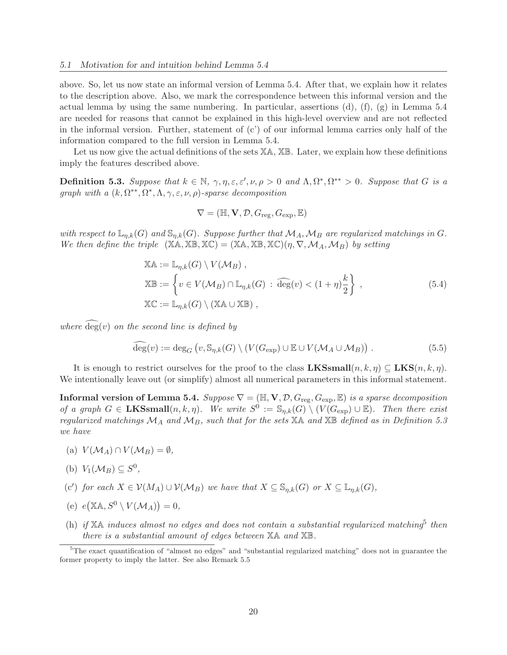above. So, let us now state an informal version of Lemma 5.4. After that, we explain how it relates to the description above. Also, we mark the correspondence between this informal version and the actual lemma by using the same numbering. In particular, assertions (d), (f), (g) in Lemma 5.4 are needed for reasons that cannot be explained in this high-level overview and are not reflected in the informal version. Further, statement of  $(c')$  of our informal lemma carries only half of the information compared to the full version in Lemma 5.4.

Let us now give the actual definitions of the sets  $X\mathbb{A}, X\mathbb{B}$ . Later, we explain how these definitions imply the features described above.

**Definition 5.3.** Suppose that  $k \in \mathbb{N}$ ,  $\gamma, \eta, \varepsilon, \varepsilon', \nu, \rho > 0$  and  $\Lambda, \Omega^*, \Omega^{**} > 0$ . Suppose that G is a graph with a  $(k, \Omega^{**}, \Omega^*, \Lambda, \gamma, \varepsilon, \nu, \rho)$ -sparse decomposition

$$
\nabla = (\mathbb{H}, \mathbf{V}, \mathcal{D}, G_{\text{reg}}, G_{\text{exp}}, \mathbb{E})
$$

with respect to  $\mathbb{L}_{n,k}(G)$  and  $\mathbb{S}_{n,k}(G)$ . Suppose further that  $\mathcal{M}_A$ ,  $\mathcal{M}_B$  are regularized matchings in G. We then define the triple  $(X\mathbb{A}, \mathbb{X}\mathbb{B}, \mathbb{X}\mathbb{C}) = (X\mathbb{A}, \mathbb{X}\mathbb{B}, \mathbb{X}\mathbb{C})(\eta, \nabla, \mathcal{M}_A, \mathcal{M}_B)$  by setting

$$
\mathbb{XA} := \mathbb{L}_{\eta,k}(G) \setminus V(\mathcal{M}_B),
$$
  
\n
$$
\mathbb{XB} := \left\{ v \in V(\mathcal{M}_B) \cap \mathbb{L}_{\eta,k}(G) : \widehat{\deg}(v) < (1+\eta)\frac{k}{2} \right\},
$$
  
\n
$$
\mathbb{XC} := \mathbb{L}_{\eta,k}(G) \setminus (\mathbb{XA} \cup \mathbb{XB}),
$$
\n(5.4)

where  $deg(v)$  on the second line is defined by

$$
\widehat{\deg}(v) := \deg_G \left( v, \mathbb{S}_{\eta,k}(G) \setminus (V(G_{\exp}) \cup \mathbb{E} \cup V(\mathcal{M}_A \cup \mathcal{M}_B) \right). \tag{5.5}
$$

It is enough to restrict ourselves for the proof to the class  $\mathbf{LKSsmall}(n, k, \eta) \subseteq \mathbf{LKS}(n, k, \eta)$ . We intentionally leave out (or simplify) almost all numerical parameters in this informal statement.

**Informal version of Lemma 5.4.** Suppose  $\nabla = (\mathbb{H}, \mathbf{V}, \mathcal{D}, G_{\text{reg}}, G_{\text{exp}}, \mathbb{E})$  is a sparse decomposition of a graph  $G \in \mathbf{LKSsmall}(n, k, \eta)$ . We write  $S^0 := \mathbb{S}_{\eta,k}(G) \setminus (V(G_{\exp}) \cup \mathbb{E})$ . Then there exist regularized matchings  $\mathcal{M}_A$  and  $\mathcal{M}_B$ , such that for the sets  $\mathbb{X}\mathbb{A}$  and  $\mathbb{X}\mathbb{B}$  defined as in Definition 5.3 we have

- (a)  $V(M_A) \cap V(M_B) = \emptyset$ ,
- (b)  $V_1(\mathcal{M}_B) \subseteq S^0$ ,
- (c') for each  $X \in \mathcal{V}(M_A) \cup \mathcal{V}(\mathcal{M}_B)$  we have that  $X \subseteq \mathbb{S}_{\eta,k}(G)$  or  $X \subseteq \mathbb{L}_{\eta,k}(G)$ ,
- (e)  $e(\mathbb{X} \mathbb{A}, S^0 \setminus V(\mathcal{M}_A)) = 0,$
- (h) if  $X\mathbb{A}$  induces almost no edges and does not contain a substantial regularized matching<sup>5</sup> then there is a substantial amount of edges between XA and XB.

<sup>&</sup>lt;sup>5</sup>The exact quantification of "almost no edges" and "substantial regularized matching" does not in guarantee the former property to imply the latter. See also Remark 5.5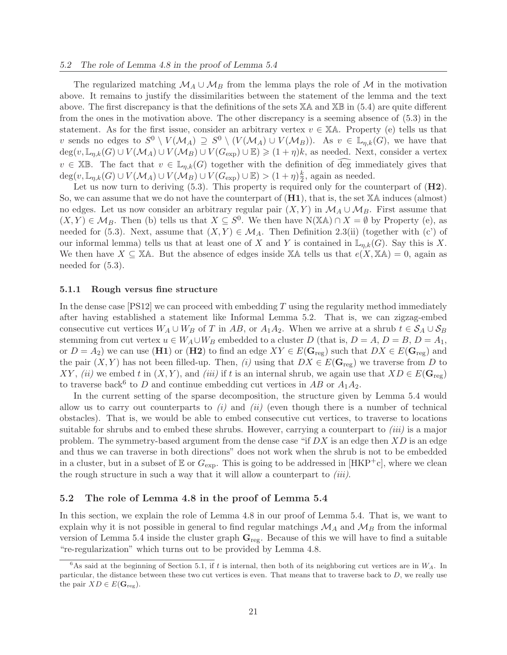The regularized matching  $\mathcal{M}_A \cup \mathcal{M}_B$  from the lemma plays the role of  $\mathcal M$  in the motivation above. It remains to justify the dissimilarities between the statement of the lemma and the text above. The first discrepancy is that the definitions of the sets  $\mathbb{X}$ A and  $\mathbb{X}\mathbb{B}$  in (5.4) are quite different from the ones in the motivation above. The other discrepancy is a seeming absence of (5.3) in the statement. As for the first issue, consider an arbitrary vertex  $v \in X\mathbb{A}$ . Property (e) tells us that v sends no edges to  $S^0 \setminus V(\mathcal{M}_A) \supseteq S^0 \setminus (V(\mathcal{M}_A) \cup V(\mathcal{M}_B))$ . As  $v \in \mathbb{L}_{\eta,k}(G)$ , we have that  $\deg(v, \mathbb{L}_{\eta,k}(G) \cup V(\mathcal{M}_A) \cup V(\mathcal{M}_B) \cup V(G_{exp}) \cup \mathbb{E}) \geq (1 + \eta)k$ , as needed. Next, consider a vertex  $v \in \mathbb{X} \mathbb{B}$ . The fact that  $v \in \mathbb{L}_{\eta,k}(G)$  together with the definition of deg immediately gives that  $deg(v, \mathbb{L}_{\eta,k}(G) \cup V(\mathcal{M}_A) \cup V(\mathcal{M}_B) \cup V(G_{exp}) \cup \mathbb{E}) > (1 + \eta)\frac{k}{2}$  $\frac{k}{2}$ , again as needed.

Let us now turn to deriving  $(5.3)$ . This property is required only for the counterpart of  $(H2)$ . So, we can assume that we do not have the counterpart of (H1), that is, the set XA induces (almost) no edges. Let us now consider an arbitrary regular pair  $(X, Y)$  in  $\mathcal{M}_A \cup \mathcal{M}_B$ . First assume that  $(X, Y) \in \mathcal{M}_B$ . Then (b) tells us that  $X \subseteq S^0$ . We then have  $N(\mathbb{X} \mathbb{A}) \cap X = \emptyset$  by Property (e), as needed for (5.3). Next, assume that  $(X, Y) \in \mathcal{M}_A$ . Then Definition 2.3(ii) (together with (c') of our informal lemma) tells us that at least one of X and Y is contained in  $\mathbb{L}_{\eta,k}(G)$ . Say this is X. We then have  $X \subseteq \mathbb{X}$ A. But the absence of edges inside  $\mathbb{X}$ A tells us that  $e(X, \mathbb{X}) = 0$ , again as needed for (5.3).

#### 5.1.1 Rough versus fine structure

In the dense case [PS12] we can proceed with embedding T using the regularity method immediately after having established a statement like Informal Lemma 5.2. That is, we can zigzag-embed consecutive cut vertices  $W_A \cup W_B$  of T in AB, or  $A_1A_2$ . When we arrive at a shrub  $t \in S_A \cup S_B$ stemming from cut vertex  $u \in W_A \cup W_B$  embedded to a cluster D (that is,  $D = A$ ,  $D = B$ ,  $D = A_1$ , or  $D = A_2$ ) we can use (H1) or (H2) to find an edge  $XY \in E(\mathbf{G}_{reg})$  such that  $DX \in E(\mathbf{G}_{reg})$  and the pair  $(X, Y)$  has not been filled-up. Then, (i) using that  $DX \in E(\mathbf{G}_{reg})$  we traverse from D to XY, (ii) we embed t in  $(X, Y)$ , and (iii) if t is an internal shrub, we again use that  $XD \in E(\mathbf{G}_{\text{reg}})$ to traverse back<sup>6</sup> to D and continue embedding cut vertices in  $AB$  or  $A_1A_2$ .

In the current setting of the sparse decomposition, the structure given by Lemma 5.4 would allow us to carry out counterparts to  $(i)$  and  $(ii)$  (even though there is a number of technical obstacles). That is, we would be able to embed consecutive cut vertices, to traverse to locations suitable for shrubs and to embed these shrubs. However, carrying a counterpart to  $(iii)$  is a major problem. The symmetry-based argument from the dense case "if  $DX$  is an edge then  $XD$  is an edge and thus we can traverse in both directions" does not work when the shrub is not to be embedded in a cluster, but in a subset of  $E$  or  $G_{\text{exp}}$ . This is going to be addressed in [HKP<sup>+</sup>c], where we clean the rough structure in such a way that it will allow a counterpart to  $(iii)$ .

### 5.2 The role of Lemma 4.8 in the proof of Lemma 5.4

In this section, we explain the role of Lemma 4.8 in our proof of Lemma 5.4. That is, we want to explain why it is not possible in general to find regular matchings  $\mathcal{M}_A$  and  $\mathcal{M}_B$  from the informal version of Lemma 5.4 inside the cluster graph  $\mathbf{G}_{\text{reg}}$ . Because of this we will have to find a suitable "re-regularization" which turns out to be provided by Lemma 4.8.

 $6$ As said at the beginning of Section 5.1, if t is internal, then both of its neighboring cut vertices are in  $W_A$ . In particular, the distance between these two cut vertices is even. That means that to traverse back to  $D$ , we really use the pair  $XD \in E(\mathbf{G}_{reg})$ .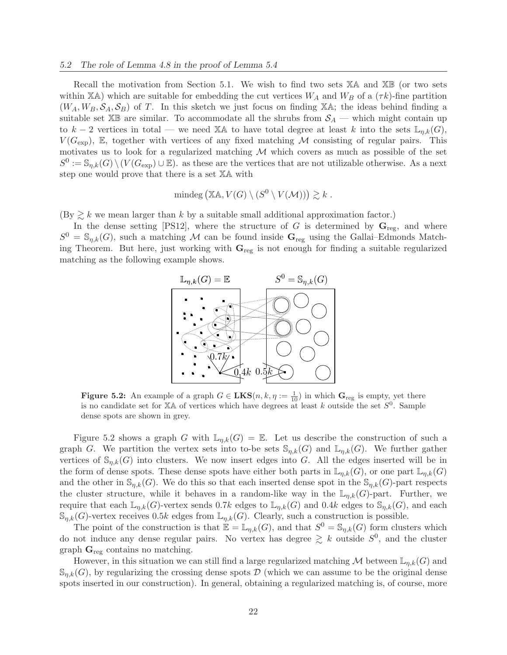Recall the motivation from Section 5.1. We wish to find two sets  $X\mathbb{A}$  and  $X\mathbb{B}$  (or two sets within XA) which are suitable for embedding the cut vertices  $W_A$  and  $W_B$  of a  $(\tau k)$ -fine partition  $(W_A, W_B, \mathcal{S}_A, \mathcal{S}_B)$  of T. In this sketch we just focus on finding XA; the ideas behind finding a suitable set  $\mathbb{X}\mathbb{B}$  are similar. To accommodate all the shrubs from  $\mathcal{S}_A$  — which might contain up to k − 2 vertices in total — we need XA to have total degree at least k into the sets  $\mathbb{L}_{n,k}(G)$ ,  $V(G_{\text{exp}})$ , E, together with vertices of any fixed matching M consisting of regular pairs. This motivates us to look for a regularized matching  $M$  which covers as much as possible of the set  $S^0 := \mathbb{S}_{\eta,k}(G) \setminus (V(G_{\text{exp}}) \cup \mathbb{E})$  as these are the vertices that are not utilizable otherwise. As a next step one would prove that there is a set XA with

mindeg 
$$
(\mathbb{XA}, V(G) \setminus (S^0 \setminus V(\mathcal{M}))) \gtrsim k
$$
.

 $(\text{By} \geq k \text{ we mean larger than } k \text{ by a suitable small additional approximation factor.})$ 

In the dense setting [PS12], where the structure of G is determined by  $\mathbf{G}_{reg}$ , and where  $S^0 = \mathbb{S}_{\eta,k}(G)$ , such a matching M can be found inside  $\mathbf{G}_{reg}$  using the Gallai–Edmonds Matching Theorem. But here, just working with  $G_{reg}$  is not enough for finding a suitable regularized matching as the following example shows.



**Figure 5.2:** An example of a graph  $G \in \mathbf{LKS}(n, k, \eta := \frac{1}{10})$  in which  $\mathbf{G}_{reg}$  is empty, yet there is no candidate set for  $X\mathbb{A}$  of vertices which have degrees at least k outside the set  $S^0$ . Sample dense spots are shown in grey.

Figure 5.2 shows a graph G with  $\mathbb{L}_{n,k}(G) = \mathbb{E}$ . Let us describe the construction of such a graph G. We partition the vertex sets into to-be sets  $\mathbb{S}_{n,k}(G)$  and  $\mathbb{L}_{n,k}(G)$ . We further gather vertices of  $\mathbb{S}_{n,k}(G)$  into clusters. We now insert edges into G. All the edges inserted will be in the form of dense spots. These dense spots have either both parts in  $\mathbb{L}_{n,k}(G)$ , or one part  $\mathbb{L}_{n,k}(G)$ and the other in  $\mathbb{S}_{n,k}(G)$ . We do this so that each inserted dense spot in the  $\mathbb{S}_{n,k}(G)$ -part respects the cluster structure, while it behaves in a random-like way in the  $\mathbb{L}_{n,k}(G)$ -part. Further, we require that each  $\mathbb{L}_{n,k}(G)$ -vertex sends 0.7k edges to  $\mathbb{L}_{n,k}(G)$  and 0.4k edges to  $\mathbb{S}_{n,k}(G)$ , and each  $\mathbb{S}_{n,k}(G)$ -vertex receives 0.5k edges from  $\mathbb{L}_{n,k}(G)$ . Clearly, such a construction is possible.

The point of the construction is that  $\mathbb{E} = \mathbb{L}_{\eta,k}(G)$ , and that  $S^0 = \mathbb{S}_{\eta,k}(G)$  form clusters which do not induce any dense regular pairs. No vertex has degree  $\geq k$  outside  $S^0$ , and the cluster graph  $\mathbf{G}_{\text{reg}}$  contains no matching.

However, in this situation we can still find a large regularized matching M between  $\mathbb{L}_{n,k}(G)$  and  $\mathcal{S}_{n,k}(G)$ , by regularizing the crossing dense spots D (which we can assume to be the original dense spots inserted in our construction). In general, obtaining a regularized matching is, of course, more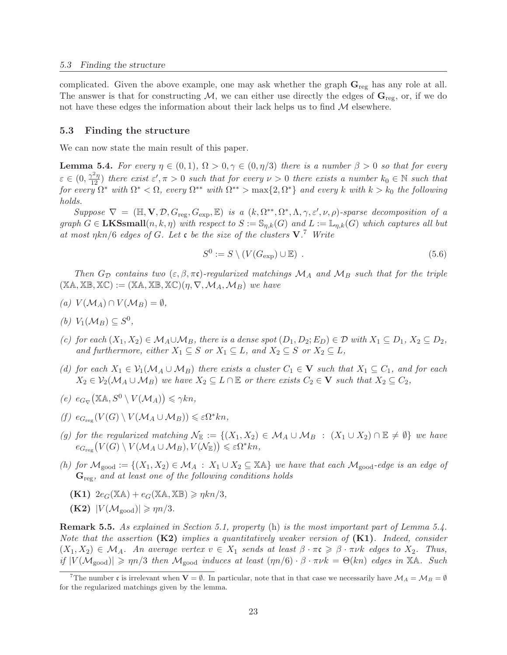complicated. Given the above example, one may ask whether the graph  $\mathbf{G}_{\text{reg}}$  has any role at all. The answer is that for constructing  $M$ , we can either use directly the edges of  $\mathbf{G}_{\text{reg}}$ , or, if we do not have these edges the information about their lack helps us to find  $M$  elsewhere.

### 5.3 Finding the structure

We can now state the main result of this paper.

**Lemma 5.4.** For every  $\eta \in (0,1)$ ,  $\Omega > 0, \gamma \in (0, \eta/3)$  there is a number  $\beta > 0$  so that for every  $\varepsilon \in (0, \frac{\gamma^2 \eta}{12})$  there exist  $\varepsilon', \pi > 0$  such that for every  $\nu > 0$  there exists a number  $k_0 \in \mathbb{N}$  such that  $for\ every\ \Omega^*\ with\ \Omega^*<\Omega,\ every\ \Omega^{**}\ with\ \Omega^{**}>\max\{2,\Omega^*\}\ and\ every\ k\ with\ k>k_0\ the\ following$ holds.

Suppose  $\nabla = (\mathbb{H}, \mathbf{V}, \mathcal{D}, G_{\text{reg}}, G_{\text{exp}}, \mathbb{E})$  is a  $(k, \Omega^{**}, \Omega^*, \Lambda, \gamma, \varepsilon', \nu, \rho)$ -sparse decomposition of a graph  $G \in \mathbf{LKSsmall}(n, k, \eta)$  with respect to  $S := \mathbb{S}_{n,k}(G)$  and  $L := \mathbb{L}_{n,k}(G)$  which captures all but at most  $\eta k n/6$  edges of G. Let c be the size of the clusters  $V^7$ . Write

$$
S^{0} := S \setminus (V(G_{\exp}) \cup \mathbb{E}) \tag{5.6}
$$

Then  $G_{\mathcal{D}}$  contains two  $(\varepsilon, \beta, \pi\mathfrak{c})$ -regularized matchings  $\mathcal{M}_A$  and  $\mathcal{M}_B$  such that for the triple  $(X\mathbb{A}, \mathbb{X}\mathbb{B}, \mathbb{X}\mathbb{C}) := (X\mathbb{A}, \mathbb{X}\mathbb{B}, \mathbb{X}\mathbb{C})(\eta, \nabla, \mathcal{M}_A, \mathcal{M}_B)$  we have

- (a)  $V(\mathcal{M}_A) \cap V(\mathcal{M}_B) = \emptyset$ ,
- (b)  $V_1(\mathcal{M}_B) \subseteq S^0$ ,
- (c) for each  $(X_1, X_2) \in M_A \cup M_B$ , there is a dense spot  $(D_1, D_2; E_D) \in \mathcal{D}$  with  $X_1 \subseteq D_1$ ,  $X_2 \subseteq D_2$ , and furthermore, either  $X_1 \subseteq S$  or  $X_1 \subseteq L$ , and  $X_2 \subseteq S$  or  $X_2 \subseteq L$ ,
- (d) for each  $X_1 \in V_1(\mathcal{M}_A \cup \mathcal{M}_B)$  there exists a cluster  $C_1 \in V$  such that  $X_1 \subseteq C_1$ , and for each  $X_2 \in V_2(\mathcal{M}_A \cup \mathcal{M}_B)$  we have  $X_2 \subseteq L \cap \mathbb{E}$  or there exists  $C_2 \in V$  such that  $X_2 \subseteq C_2$ ,
- $(e)$   $e_{G_{\nabla}}(\mathbb{X}\mathbb{A}, S^0 \setminus V(\mathcal{M}_A)) \leq \gamma k n,$
- $(f)$   $e_{G_{reg}}(V(G) \setminus V(\mathcal{M}_A \cup \mathcal{M}_B)) \leq \varepsilon \Omega^* k n,$
- (g) for the regularized matching  $\mathcal{N}_{\mathbb{E}} := \{(X_1, X_2) \in \mathcal{M}_A \cup \mathcal{M}_B : (X_1 \cup X_2) \cap \mathbb{E} \neq \emptyset\}$  we have  $e_{G_{\text{reg}}}(V(G) \setminus V(\mathcal{M}_A \cup \mathcal{M}_B), V(\mathcal{N}_{\mathbb{E}})) \leqslant \varepsilon \Omega^* k n,$
- (h) for  $\mathcal{M}_{\text{good}} := \{(X_1, X_2) \in \mathcal{M}_A : X_1 \cup X_2 \subseteq \mathbb{X} \mathbb{A}\}\$  we have that each  $\mathcal{M}_{\text{good}}$ -edge is an edge of  $\mathbf{G}_{\text{reg}}$ , and at least one of the following conditions holds
	- $(K1)$   $2e_G(X\mathbb{A}) + e_G(X\mathbb{A}, \mathbb{X}\mathbb{B}) \geq \eta k n/3$ ,
	- $(K2)$   $|V(\mathcal{M}_{\text{good}})| \geqslant \eta n/3$ .

Remark 5.5. As explained in Section 5.1, property (h) is the most important part of Lemma 5.4. Note that the assertion  $(K2)$  implies a quantitatively weaker version of  $(K1)$ . Indeed, consider  $(X_1, X_2) \in \mathcal{M}_A$ . An average vertex  $v \in X_1$  sends at least  $\beta \cdot \pi \mathfrak{c} \geq \beta \cdot \pi \nu k$  edges to  $X_2$ . Thus, if  $|V(\mathcal{M}_{\text{good}})| \ge \eta n/3$  then  $\mathcal{M}_{\text{good}}$  induces at least  $(\eta n/6) \cdot \beta \cdot \pi \nu k = \Theta(kn)$  edges in XA. Such

<sup>&</sup>lt;sup>7</sup>The number c is irrelevant when  $V = \emptyset$ . In particular, note that in that case we necessarily have  $\mathcal{M}_A = \mathcal{M}_B = \emptyset$ for the regularized matchings given by the lemma.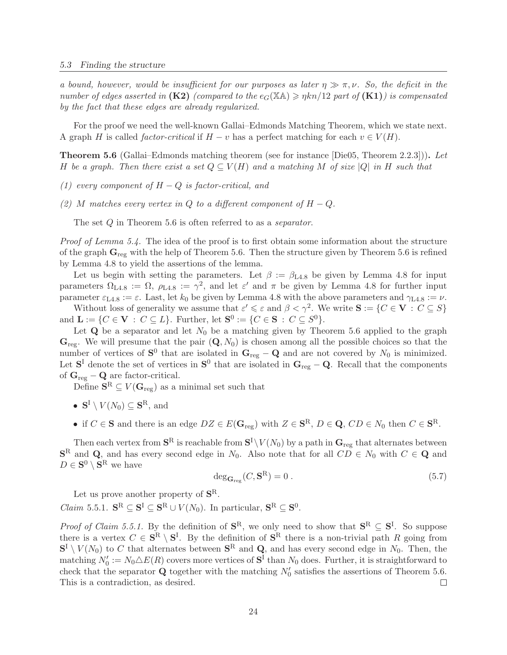a bound, however, would be insufficient for our purposes as later  $\eta \gg \pi, \nu$ . So, the deficit in the number of edges asserted in  $(K2)$  (compared to the  $e_G(X\mathbb{A}) \geq \eta k n/12$  part of  $(K1)$ ) is compensated by the fact that these edges are already regularized.

For the proof we need the well-known Gallai–Edmonds Matching Theorem, which we state next. A graph H is called factor-critical if  $H - v$  has a perfect matching for each  $v \in V(H)$ .

Theorem 5.6 (Gallai–Edmonds matching theorem (see for instance [Die05, Theorem 2.2.3])). Let H be a graph. Then there exist a set  $Q \subseteq V(H)$  and a matching M of size |Q| in H such that

- (1) every component of  $H-Q$  is factor-critical, and
- (2) M matches every vertex in Q to a different component of  $H Q$ .

The set Q in Theorem 5.6 is often referred to as a *separator*.

Proof of Lemma 5.4. The idea of the proof is to first obtain some information about the structure of the graph  $\mathbf{G}_{\text{reg}}$  with the help of Theorem 5.6. Then the structure given by Theorem 5.6 is refined by Lemma 4.8 to yield the assertions of the lemma.

Let us begin with setting the parameters. Let  $\beta := \beta_{L4.8}$  be given by Lemma 4.8 for input parameters  $\Omega_{\text{L4.8}} := \Omega$ ,  $\rho_{\text{L4.8}} := \gamma^2$ , and let  $\varepsilon'$  and  $\pi$  be given by Lemma 4.8 for further input parameter  $\varepsilon_{\text{L4.8}} := \varepsilon$ . Last, let  $k_0$  be given by Lemma 4.8 with the above parameters and  $\gamma_{\text{L4.8}} := \nu$ .

Without loss of generality we assume that  $\varepsilon' \leqslant \varepsilon$  and  $\beta < \gamma^2$ . We write  $S := \{C \in V : C \subseteq S\}$ and  $\mathbf{L} := \{ C \in \mathbf{V} : C \subseteq L \}.$  Further, let  $\mathbf{S}^0 := \{ C \in \mathbf{S} : C \subseteq S^0 \}.$ 

Let  $Q$  be a separator and let  $N_0$  be a matching given by Theorem 5.6 applied to the graph  $\mathbf{G}_{\text{reg}}$ . We will presume that the pair  $(\mathbf{Q}, N_0)$  is chosen among all the possible choices so that the number of vertices of  $S^0$  that are isolated in  $G_{reg} - Q$  and are not covered by  $N_0$  is minimized. Let  $S<sup>I</sup>$  denote the set of vertices in  $S<sup>0</sup>$  that are isolated in  $G_{reg} - Q$ . Recall that the components of  $\mathbf{G}_{\text{reg}} - \mathbf{Q}$  are factor-critical.

Define  $S^R \subseteq V(G_{reg})$  as a minimal set such that

- $S^{\mathrm{I}} \setminus V(N_0) \subseteq S^{\mathrm{R}}$ , and
- if  $C \in \mathbf{S}$  and there is an edge  $DZ \in E(\mathbf{G}_{reg})$  with  $Z \in \mathbf{S}^R$ ,  $D \in \mathbf{Q}$ ,  $CD \in N_0$  then  $C \in \mathbf{S}^R$ .

Then each vertex from  $S^R$  is reachable from  $S^I\backslash V(N_0)$  by a path in  $\mathbf{G}_{\text{reg}}$  that alternates between  $\mathbf{S}^R$  and  $\mathbf{Q}$ , and has every second edge in  $N_0$ . Also note that for all  $CD \in N_0$  with  $C \in \mathbf{Q}$  and  $D \in \mathbf{S}^0 \setminus \mathbf{S}^R$  we have

$$
\deg_{\mathbf{G}_{\text{reg}}}(C, \mathbf{S}^{\text{R}}) = 0.
$$
\n(5.7)

Let us prove another property of  $S<sup>R</sup>$ .

*Claim* 5.5.1.  $\mathbf{S}^{\text{R}} \subseteq \mathbf{S}^{\text{I}} \subseteq \mathbf{S}^{\text{R}} \cup V(N_0)$ . In particular,  $\mathbf{S}^{\text{R}} \subseteq \mathbf{S}^0$ .

*Proof of Claim 5.5.1.* By the definition of  $S^R$ , we only need to show that  $S^R \subseteq S^I$ . So suppose there is a vertex  $C \in \mathbf{S}^R \setminus \mathbf{S}^I$ . By the definition of  $\mathbf{S}^R$  there is a non-trivial path R going from  $S^I \setminus V(N_0)$  to C that alternates between  $S^R$  and Q, and has every second edge in  $N_0$ . Then, the matching  $N'_0 := N_0 \triangle E(R)$  covers more vertices of  $S<sup>I</sup>$  than  $N_0$  does. Further, it is straightforward to check that the separator **Q** together with the matching  $N'_0$  satisfies the assertions of Theorem 5.6. This is a contradiction, as desired.  $\Box$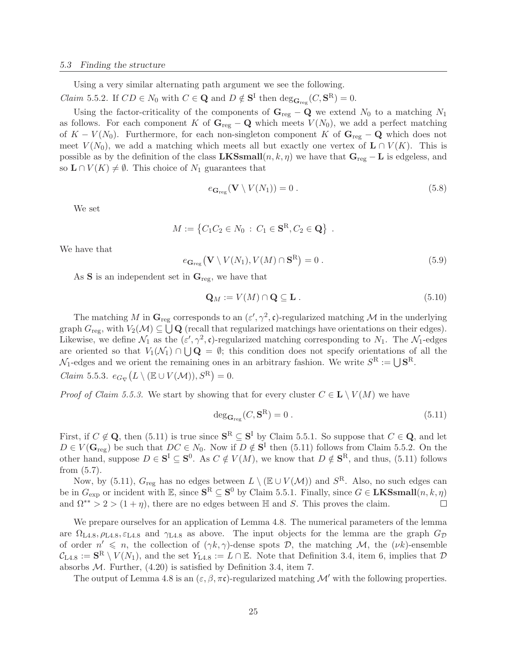Using a very similar alternating path argument we see the following.

*Claim* 5.5.2. If  $CD \in N_0$  with  $C \in \mathbf{Q}$  and  $D \notin \mathbf{S}^{\mathcal{I}}$  then  $\deg_{\mathbf{G}_{reg}}(C, \mathbf{S}^{\mathcal{R}}) = 0$ .

Using the factor-criticality of the components of  $\mathbf{G}_{reg} - \mathbf{Q}$  we extend  $N_0$  to a matching  $N_1$ as follows. For each component K of  $\mathbf{G}_{\text{reg}} - \mathbf{Q}$  which meets  $V(N_0)$ , we add a perfect matching of K –  $V(N_0)$ . Furthermore, for each non-singleton component K of  $\mathbf{G}_{reg} - \mathbf{Q}$  which does not meet  $V(N_0)$ , we add a matching which meets all but exactly one vertex of  $\mathbf{L} \cap V(K)$ . This is possible as by the definition of the class LKSsmall $(n, k, \eta)$  we have that  $\mathbf{G}_{reg} - \mathbf{L}$  is edgeless, and so  $\mathbf{L} \cap V(K) \neq \emptyset$ . This choice of  $N_1$  guarantees that

$$
e_{\mathbf{G}_{\text{reg}}}(\mathbf{V} \setminus V(N_1)) = 0.
$$
\n
$$
(5.8)
$$

We set

$$
M := \{ C_1 C_2 \in N_0 : C_1 \in \mathbf{S}^R, C_2 \in \mathbf{Q} \} .
$$

We have that

$$
e_{\mathbf{G}_{\text{reg}}}(\mathbf{V} \setminus V(N_1), V(M) \cap \mathbf{S}^{\text{R}}) = 0.
$$
\n(5.9)

As  $S$  is an independent set in  $G_{reg}$ , we have that

$$
\mathbf{Q}_M := V(M) \cap \mathbf{Q} \subseteq \mathbf{L} \tag{5.10}
$$

The matching M in  $\mathbf{G}_{reg}$  corresponds to an  $(\varepsilon', \gamma^2, \mathfrak{c})$ -regularized matching M in the underlying graph  $G_{\text{reg}}$ , with  $V_2(\mathcal{M}) \subseteq \bigcup \mathbf{Q}$  (recall that regularized matchings have orientations on their edges). Likewise, we define  $\mathcal{N}_1$  as the  $(\varepsilon', \gamma^2, \mathfrak{c})$ -regularized matching corresponding to  $N_1$ . The  $\mathcal{N}_1$ -edges are oriented so that  $V_1(\mathcal{N}_1) \cap \bigcup \mathbf{Q} = \emptyset$ ; this condition does not specify orientations of all the  $\mathcal{N}_1$ -edges and we orient the remaining ones in an arbitrary fashion. We write  $S^R := \bigcup \mathbf{S}^R$ . Claim 5.5.3.  $e_{G_{\nabla}}(L \setminus (\mathbb{E} \cup V(\mathcal{M})), S^R) = 0.$ 

*Proof of Claim 5.5.3.* We start by showing that for every cluster  $C \in L \setminus V(M)$  we have

$$
\deg_{\mathbf{G}_{\text{reg}}}(C, \mathbf{S}^{\text{R}}) = 0.
$$
\n(5.11)

First, if  $C \notin \mathbf{Q}$ , then (5.11) is true since  $\mathbf{S}^R \subseteq \mathbf{S}^I$  by Claim 5.5.1. So suppose that  $C \in \mathbf{Q}$ , and let  $D \in V(\mathbf{G}_{reg})$  be such that  $DC \in N_0$ . Now if  $D \notin \mathbf{S}^{\mathrm{I}}$  then (5.11) follows from Claim 5.5.2. On the other hand, suppose  $D \in \mathbf{S}^{\mathcal{I}} \subseteq \mathbf{S}^0$ . As  $C \notin V(M)$ , we know that  $D \notin \mathbf{S}^{\mathcal{R}}$ , and thus, (5.11) follows from (5.7).

Now, by (5.11),  $G_{reg}$  has no edges between  $L \setminus (\mathbb{E} \cup V(\mathcal{M}))$  and  $S^R$ . Also, no such edges can be in  $G_{\text{exp}}$  or incident with  $\mathbb{E}$ , since  $\mathbf{S}^{\text{R}} \subseteq \mathbf{S}^0$  by Claim 5.5.1. Finally, since  $G \in \mathbf{LKSsmall}(n, k, \eta)$ and  $\Omega^{**} > 2 > (1 + \eta)$ , there are no edges between H and S. This proves the claim.  $\Box$ 

We prepare ourselves for an application of Lemma 4.8. The numerical parameters of the lemma are  $\Omega_{L4.8}, \rho_{L4.8}, \varepsilon_{L4.8}$  and  $\gamma_{L4.8}$  as above. The input objects for the lemma are the graph  $G_{\mathcal{D}}$ of order  $n' \leq n$ , the collection of  $(\gamma k, \gamma)$ -dense spots D, the matching M, the  $(\nu k)$ -ensemble  $\mathcal{C}_{\text{L4.8}} := \mathbf{S}^{\text{R}} \setminus V(N_1)$ , and the set  $Y_{\text{L4.8}} := L \cap \mathbb{E}$ . Note that Definition 3.4, item 6, implies that  $\mathcal{D}$ absorbs  $M$ . Further,  $(4.20)$  is satisfied by Definition 3.4, item 7.

The output of Lemma 4.8 is an  $(\varepsilon, \beta, \pi \mathfrak{c})$ -regularized matching  $\mathcal{M}'$  with the following properties.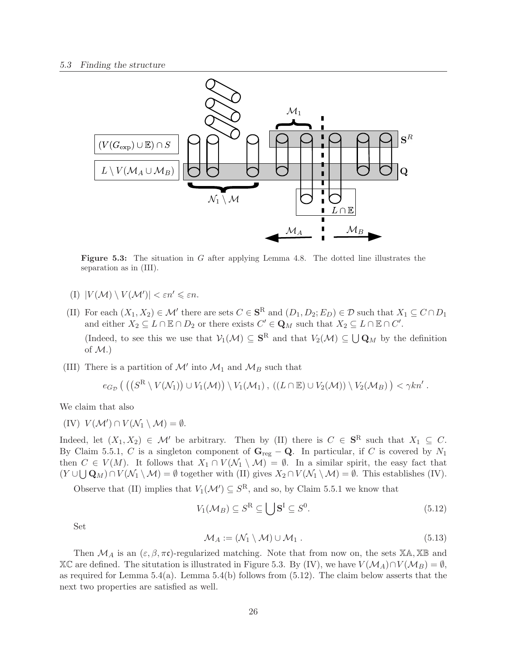

Figure 5.3: The situation in G after applying Lemma 4.8. The dotted line illustrates the separation as in (III).

- (I)  $|V(\mathcal{M}) \setminus V(\mathcal{M}')| < \varepsilon n' \leqslant \varepsilon n$ .
- (II) For each  $(X_1, X_2) \in \mathcal{M}'$  there are sets  $C \in \mathbf{S}^R$  and  $(D_1, D_2; E_D) \in \mathcal{D}$  such that  $X_1 \subseteq C \cap D_1$ and either  $X_2 \subseteq L \cap \mathbb{E} \cap D_2$  or there exists  $C' \in \mathbf{Q}_M$  such that  $X_2 \subseteq L \cap \mathbb{E} \cap C'$ . (Indeed, to see this we use that  $V_1(\mathcal{M}) \subseteq \mathbf{S}^R$  and that  $V_2(\mathcal{M}) \subseteq \bigcup \mathbf{Q}_M$  by the definition of  $M$ .)
- (III) There is a partition of  $\mathcal{M}'$  into  $\mathcal{M}_1$  and  $\mathcal{M}_B$  such that

$$
e_{G_{\mathcal{D}}}((S^R \setminus V(\mathcal{N}_1)) \cup V_1(\mathcal{M})) \setminus V_1(\mathcal{M}_1), ((L \cap \mathbb{E}) \cup V_2(\mathcal{M})) \setminus V_2(\mathcal{M}_B)) < \gamma k n'.
$$

We claim that also

$$
(IV) V(\mathcal{M}') \cap V(\mathcal{N}_1 \setminus \mathcal{M}) = \emptyset.
$$

Indeed, let  $(X_1, X_2) \in \mathcal{M}'$  be arbitrary. Then by (II) there is  $C \in \mathbf{S}^R$  such that  $X_1 \subseteq C$ . By Claim 5.5.1, C is a singleton component of  $G_{reg} - Q$ . In particular, if C is covered by N<sub>1</sub> then  $C \in V(M)$ . It follows that  $X_1 \cap V(\mathcal{N}_1 \setminus \mathcal{M}) = \emptyset$ . In a similar spirit, the easy fact that  $(Y \cup \bigcup \mathbf{Q}_M) \cap V(\mathcal{N}_1 \setminus \mathcal{M}) = \emptyset$  together with (II) gives  $X_2 \cap V(\mathcal{N}_1 \setminus \mathcal{M}) = \emptyset$ . This establishes (IV).

Observe that (II) implies that  $V_1(\mathcal{M}') \subseteq S^R$ , and so, by Claim 5.5.1 we know that

$$
V_1(\mathcal{M}_B) \subseteq S^{\mathcal{R}} \subseteq \bigcup \mathbf{S}^{\mathcal{I}} \subseteq S^0. \tag{5.12}
$$

Set

$$
\mathcal{M}_A := (\mathcal{N}_1 \setminus \mathcal{M}) \cup \mathcal{M}_1. \tag{5.13}
$$

Then  $\mathcal{M}_A$  is an  $(\varepsilon, \beta, \pi\mathfrak{c})$ -regularized matching. Note that from now on, the sets  $\mathbb{X}\mathbb{A}, \mathbb{X}\mathbb{B}$  and  $\mathbb{X}\mathbb{C}$  are defined. The situtation is illustrated in Figure 5.3. By (IV), we have  $V(\mathcal{M}_A) \cap V(\mathcal{M}_B) = \emptyset$ , as required for Lemma  $5.4(a)$ . Lemma  $5.4(b)$  follows from  $(5.12)$ . The claim below asserts that the next two properties are satisfied as well.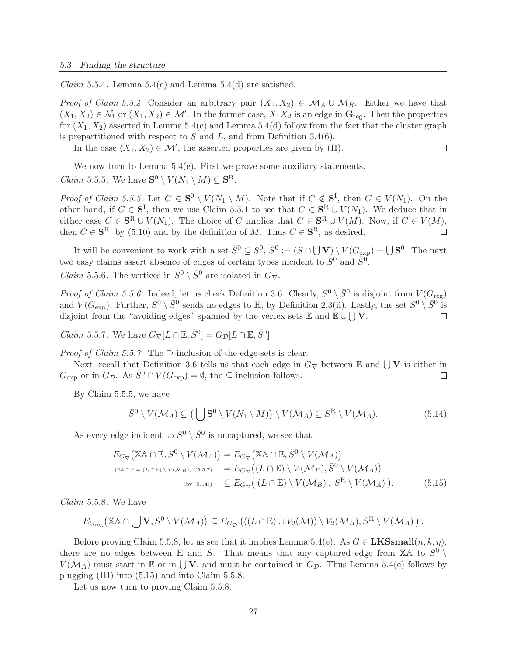*Claim* 5.5.4. Lemma 5.4(c) and Lemma 5.4(d) are satisfied.

*Proof of Claim 5.5.4.* Consider an arbitrary pair  $(X_1, X_2) \in M_A \cup M_B$ . Either we have that  $(X_1, X_2) \in \mathcal{N}_1$  or  $(X_1, X_2) \in \mathcal{M}'$ . In the former case,  $X_1X_2$  is an edge in  $\mathbf{G}_{reg}$ . Then the properties for  $(X_1, X_2)$  asserted in Lemma 5.4(c) and Lemma 5.4(d) follow from the fact that the cluster graph is prepartitioned with respect to  $S$  and  $L$ , and from Definition 3.4(6).

In the case  $(X_1, X_2) \in \mathcal{M}'$ , the asserted properties are given by (II).

 $\Box$ 

We now turn to Lemma  $5.4(e)$ . First we prove some auxiliary statements.

*Claim* 5.5.5. We have  $S^0 \setminus V(N_1 \setminus M) \subseteq S^R$ .

*Proof of Claim 5.5.5.* Let  $C \in \mathbf{S}^0 \setminus V(N_1 \setminus M)$ . Note that if  $C \notin \mathbf{S}^I$ , then  $C \in V(N_1)$ . On the other hand, if  $C \in \mathbf{S}^{\mathcal{I}}$ , then we use Claim 5.5.1 to see that  $C \in \mathbf{S}^{\mathcal{R}} \cup V(N_1)$ . We deduce that in either case  $C \in \mathbf{S}^{\mathbf{R}} \cup V(N_1)$ . The choice of C implies that  $C \in \mathbf{S}^{\mathbf{R}} \cup V(M)$ . Now, if  $C \in V(M)$ , then  $C \in \mathbf{S}^R$ , by (5.10) and by the definition of M. Thus  $C \in \mathbf{S}^R$ , as desired.  $\Box$ 

It will be convenient to work with a set  $\bar{S}^0 \subseteq S^0$ ,  $\bar{S}^0 := (S \cap \bigcup \mathbf{V}) \setminus V(G_{\exp}) = \bigcup \mathbf{S}^0$ . The next two easy claims assert absence of edges of certain types incident to  $S^0$  and  $\bar{S}^0$ .

*Claim* 5.5.6. The vertices in  $S^0 \setminus \overline{S}^0$  are isolated in  $G_{\nabla}$ .

*Proof of Claim 5.5.6.* Indeed, let us check Definition 3.6. Clearly,  $S^0 \setminus \overline{S}^0$  is disjoint from  $V(G_{reg})$ and  $V(G_{\text{exp}})$ . Further,  $S^0 \setminus \bar{S}^0$  sends no edges to  $\mathbb{H}$ , by Definition 2.3(ii). Lastly, the set  $S^0 \setminus \bar{S}^0$  is disjoint from the "avoiding edges" spanned by the vertex sets  $\mathbb E$  and  $\mathbb E \cup \bigcup V$ . П

*Claim* 5.5.7. We have  $G_{\nabla}[L \cap \mathbb{E}, \overline{S}^0] = G_{\mathcal{D}}[L \cap \mathbb{E}, \overline{S}^0]$ .

*Proof of Claim 5.5.7.* The  $\supset$ -inclusion of the edge-sets is clear.

Next, recall that Definition 3.6 tells us that each edge in  $G_{\nabla}$  between  $\mathbb E$  and  $\bigcup V$  is either in  $G_{\text{exp}}$  or in  $G_{\mathcal{D}}$ . As  $\bar{S}^0 \cap V(G_{\text{exp}}) = \emptyset$ , the  $\subseteq$ -inclusion follows.  $\Box$ 

By Claim 5.5.5, we have

$$
\bar{S}^0 \setminus V(\mathcal{M}_A) \subseteq \left(\bigcup \mathbf{S}^0 \setminus V(N_1 \setminus M)\right) \setminus V(\mathcal{M}_A) \subseteq S^R \setminus V(\mathcal{M}_A). \tag{5.14}
$$

As every edge incident to  $S^0 \setminus \overline{S}^0$  is uncaptured, we see that

$$
E_{G_{\nabla}}(\mathbb{X}\mathbb{A}\cap\mathbb{E}, S^{0}\setminus V(\mathcal{M}_{A})) = E_{G_{\nabla}}(\mathbb{X}\mathbb{A}\cap\mathbb{E}, \bar{S}^{0}\setminus V(\mathcal{M}_{A}))
$$
  
\n
$$
\begin{array}{rcl}\n(\mathbb{X}\mathbb{A}\cap\mathbb{E}=(L\cap\mathbb{E})\setminus V(\mathcal{M}_{B}), \text{C5.5.7}) &=& E_{G_{\mathcal{D}}}((L\cap\mathbb{E})\setminus V(\mathcal{M}_{B}), \bar{S}^{0}\setminus V(\mathcal{M}_{A})) \\
& &(\text{by (5.14)}) \subseteq E_{G_{\mathcal{D}}}((L\cap\mathbb{E})\setminus V(\mathcal{M}_{B}), S^{R}\setminus V(\mathcal{M}_{A})).\n\end{array} \tag{5.15}
$$

Claim 5.5.8. We have

$$
E_{G_{reg}}(\mathbb{X} \mathbb{A} \cap \bigcup \mathbf{V}, S^0 \setminus V(\mathcal{M}_A)) \subseteq E_{G_{\mathcal{D}}}(( (L \cap \mathbb{E}) \cup V_2(\mathcal{M})) \setminus V_2(\mathcal{M}_B), S^R \setminus V(\mathcal{M}_A)).
$$

Before proving Claim 5.5.8, let us see that it implies Lemma 5.4(e). As  $G \in \mathbf{LKSsmall}(n, k, \eta)$ , there are no edges between  $\mathbb H$  and S. That means that any captured edge from  $\mathbb X$ A to  $S^0$  $V(\mathcal{M}_A)$  must start in  $\mathbb E$  or in  $\bigcup V$ , and must be contained in  $G_{\mathcal{D}}$ . Thus Lemma 5.4(e) follows by plugging (III) into (5.15) and into Claim 5.5.8.

Let us now turn to proving Claim 5.5.8.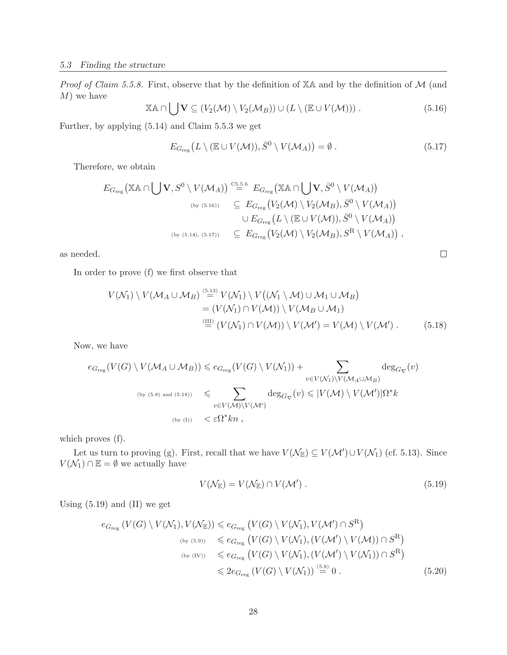*Proof of Claim 5.5.8.* First, observe that by the definition of  $X\mathbb{A}$  and by the definition of  $\mathcal M$  (and  $M$ ) we have

$$
\mathbb{X}\mathbb{A}\cap\bigcup\mathbf{V}\subseteq(V_2(\mathcal{M})\setminus V_2(\mathcal{M}_B))\cup(L\setminus(\mathbb{E}\cup V(\mathcal{M})))\ .
$$
\n(5.16)

Further, by applying (5.14) and Claim 5.5.3 we get

$$
E_{G_{\text{reg}}}(L \setminus (\mathbb{E} \cup V(\mathcal{M})), \bar{S}^0 \setminus V(\mathcal{M}_A)) = \emptyset.
$$
\n(5.17)

 $\Box$ 

Therefore, we obtain

$$
E_{G_{reg}}(\mathbb{X}\mathbb{A}\cap \bigcup \mathbf{V}, S^{0}\setminus V(\mathcal{M}_{A})) \stackrel{\mathsf{C5.5.6}}{=} E_{G_{reg}}(\mathbb{X}\mathbb{A}\cap \bigcup \mathbf{V}, \bar{S}^{0}\setminus V(\mathcal{M}_{A}))
$$
  
\n
$$
\subseteq E_{G_{reg}}(V_{2}(\mathcal{M})\setminus V_{2}(\mathcal{M}_{B}), \bar{S}^{0}\setminus V(\mathcal{M}_{A}))
$$
  
\n
$$
\cup E_{G_{reg}}(L\setminus (\mathbb{E}\cup V(\mathcal{M})), \bar{S}^{0}\setminus V(\mathcal{M}_{A}))
$$
  
\n
$$
\subseteq E_{G_{reg}}(V_{2}(\mathcal{M})\setminus V_{2}(\mathcal{M}_{B}), S^{R}\setminus V(\mathcal{M}_{A}))
$$
,

as needed.

In order to prove (f) we first observe that

$$
V(\mathcal{N}_1) \setminus V(\mathcal{M}_A \cup \mathcal{M}_B) \stackrel{\text{(5.13)}}{=} V(\mathcal{N}_1) \setminus V((\mathcal{N}_1 \setminus \mathcal{M}) \cup \mathcal{M}_1 \cup \mathcal{M}_B)
$$
  
= 
$$
(V(\mathcal{N}_1) \cap V(\mathcal{M})) \setminus V(\mathcal{M}_B \cup \mathcal{M}_1)
$$
  

$$
\stackrel{\text{(III)}}{=} (V(\mathcal{N}_1) \cap V(\mathcal{M})) \setminus V(\mathcal{M}') = V(\mathcal{M}) \setminus V(\mathcal{M}').
$$
 (5.18)

Now, we have

$$
e_{G_{reg}}(V(G) \setminus V(\mathcal{M}_A \cup \mathcal{M}_B)) \leq e_{G_{reg}}(V(G) \setminus V(\mathcal{N}_1)) + \sum_{v \in V(\mathcal{N}_1) \setminus V(\mathcal{M}_A \cup \mathcal{M}_B)} \deg_{G_{\nabla}}(v)
$$
  
\n
$$
\lim_{(by (5.8) \text{ and } (5.18))} \leq \sum_{v \in V(\mathcal{M}) \setminus V(\mathcal{M}')} \deg_{G_{\nabla}}(v) \leq |V(\mathcal{M}) \setminus V(\mathcal{M}')| \Omega^* k
$$
  
\n
$$
\lim_{(by (I))} \leq \varepsilon \Omega^* kn,
$$

which proves  $(f)$ .

Let us turn to proving (g). First, recall that we have  $V(\mathcal{N}_{\mathbb{E}}) \subseteq V(\mathcal{M}') \cup V(\mathcal{N}_1)$  (cf. 5.13). Since  $V(\mathcal{N}_1) \cap \mathbb{E} = \emptyset$  we actually have

$$
V(\mathcal{N}_{\mathbb{E}}) = V(\mathcal{N}_{\mathbb{E}}) \cap V(\mathcal{M}'). \qquad (5.19)
$$

Using  $(5.19)$  and  $(II)$  we get

$$
e_{G_{reg}}(V(G) \setminus V(\mathcal{N}_1), V(\mathcal{N}_E)) \le e_{G_{reg}}(V(G) \setminus V(\mathcal{N}_1), V(\mathcal{M}') \cap S^R)
$$
  
\n
$$
\begin{array}{rcl}\n\text{(by (5.9))} & \le e_{G_{reg}}(V(G) \setminus V(\mathcal{N}_1), (V(\mathcal{M}') \setminus V(\mathcal{M})) \cap S^R) \\
\text{(by (IV))} & \le e_{G_{reg}}(V(G) \setminus V(\mathcal{N}_1), (V(\mathcal{M}') \setminus V(\mathcal{N}_1)) \cap S^R) \\
&\le 2e_{G_{reg}}(V(G) \setminus V(\mathcal{N}_1)) \stackrel{(5.8)}{=} 0. \n\end{array} (5.20)
$$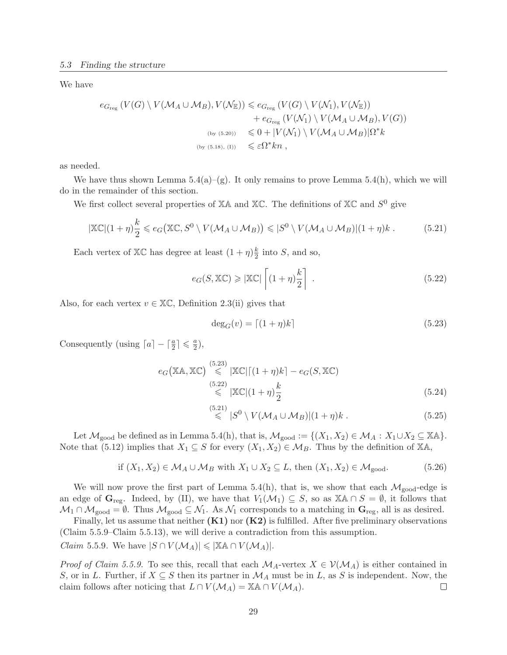We have

$$
e_{G_{reg}}(V(G) \setminus V(\mathcal{M}_A \cup \mathcal{M}_B), V(\mathcal{N}_E)) \le e_{G_{reg}}(V(G) \setminus V(\mathcal{N}_1), V(\mathcal{N}_E))
$$
  
+  $e_{G_{reg}}(V(\mathcal{N}_1) \setminus V(\mathcal{M}_A \cup \mathcal{M}_B), V(G))$   
(by (5.20))  $\le 0 + |V(\mathcal{N}_1) \setminus V(\mathcal{M}_A \cup \mathcal{M}_B)|\Omega^* k$   
(by (5.18), (I))  $\le \varepsilon \Omega^* k n$ ,

as needed.

We have thus shown Lemma  $5.4(a)-(g)$ . It only remains to prove Lemma  $5.4(h)$ , which we will do in the remainder of this section.

We first collect several properties of  $X\mathbb{A}$  and  $X\mathbb{C}$ . The definitions of  $X\mathbb{C}$  and  $S^0$  give

$$
|\mathbb{X}\mathbb{C}|(1+\eta)\frac{k}{2} \leqslant e_G\big(\mathbb{X}\mathbb{C}, S^0 \setminus V(\mathcal{M}_A \cup \mathcal{M}_B)\big) \leqslant |S^0 \setminus V(\mathcal{M}_A \cup \mathcal{M}_B)|(1+\eta)k. \tag{5.21}
$$

Each vertex of  $X\mathbb{C}$  has degree at least  $(1 + \eta)\frac{k}{2}$  $\frac{k}{2}$  into S, and so,

$$
e_G(S, \mathbb{XC}) \ge |\mathbb{XC}| \left[ (1+\eta)\frac{k}{2} \right]. \tag{5.22}
$$

Also, for each vertex  $v \in \mathbb{X}\mathbb{C}$ , Definition 2.3(ii) gives that

$$
\deg_G(v) = \lceil (1+\eta)k \rceil \tag{5.23}
$$

Consequently (using  $\lceil a \rceil - \lceil \frac{a}{2} \rceil \leq \frac{a}{2}$  $\frac{a}{2}$ ),

$$
e_G(\mathbb{XA}, \mathbb{XC}) \overset{(5.23)}{\leq} |\mathbb{XC}| \left[ (1+\eta)k \right] - e_G(S, \mathbb{XC})
$$
\n
$$
\overset{(5.22)}{\leq} |\mathbb{XC}| (1+\eta) \frac{k}{2}
$$
\n
$$
(5.24)
$$

$$
\stackrel{(5.21)}{\leqslant} |S^0 \setminus V(\mathcal{M}_A \cup \mathcal{M}_B)|(1+\eta)k. \tag{5.25}
$$

Let  $\mathcal{M}_{\text{good}}$  be defined as in Lemma 5.4(h), that is,  $\mathcal{M}_{\text{good}} := \{(X_1, X_2) \in \mathcal{M}_A : X_1 \cup X_2 \subseteq \mathbb{X} \mathbb{A}\}.$ Note that (5.12) implies that  $X_1 \subseteq S$  for every  $(X_1, X_2) \in M_B$ . Thus by the definition of XA,

if 
$$
(X_1, X_2) \in \mathcal{M}_A \cup \mathcal{M}_B
$$
 with  $X_1 \cup X_2 \subseteq L$ , then  $(X_1, X_2) \in \mathcal{M}_{\text{good}}$ . (5.26)

We will now prove the first part of Lemma 5.4(h), that is, we show that each  $\mathcal{M}_{good}$ -edge is an edge of  $\mathbf{G}_{reg}$ . Indeed, by (II), we have that  $V_1(\mathcal{M}_1) \subseteq S$ , so as  $\mathbb{X} \mathbb{A} \cap S = \emptyset$ , it follows that  $M_1 \cap M_{\text{good}} = \emptyset$ . Thus  $M_{\text{good}} \subseteq N_1$ . As  $N_1$  corresponds to a matching in  $\mathbf{G}_{\text{reg}}$ , all is as desired.

Finally, let us assume that neither  $(K1)$  nor  $(K2)$  is fulfilled. After five preliminary observations (Claim 5.5.9–Claim 5.5.13), we will derive a contradiction from this assumption. *Claim* 5.5.9. We have  $|S \cap V(\mathcal{M}_A)| \leq |\mathbb{X} \mathbb{A} \cap V(\mathcal{M}_A)|$ .

*Proof of Claim 5.5.9.* To see this, recall that each  $\mathcal{M}_A$ -vertex  $X \in \mathcal{V}(\mathcal{M}_A)$  is either contained in S, or in L. Further, if  $X \subseteq S$  then its partner in  $\mathcal{M}_A$  must be in L, as S is independent. Now, the claim follows after noticing that  $L \cap V(\mathcal{M}_A) = \mathbb{X} \mathbb{A} \cap V(\mathcal{M}_A)$ .  $\Box$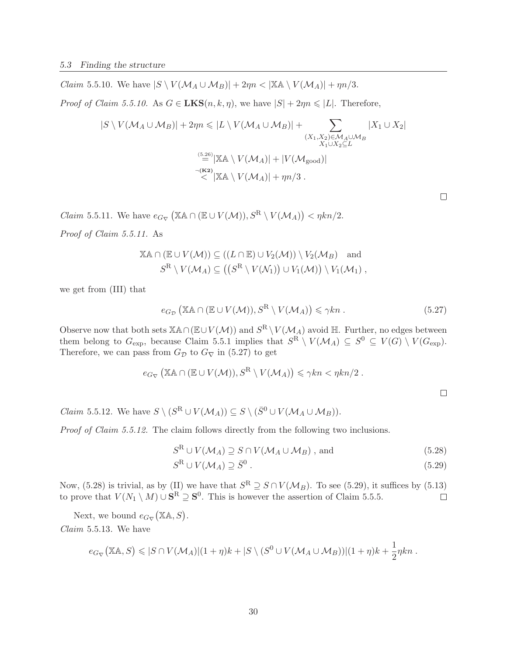*Claim* 5.5.10. We have  $|S \setminus V(\mathcal{M}_A \cup \mathcal{M}_B)| + 2\eta n < |\mathbb{X} \mathbb{A} \setminus V(\mathcal{M}_A)| + \eta n/3$ .

*Proof of Claim 5.5.10.* As  $G \in \mathbf{LKS}(n, k, \eta)$ , we have  $|S| + 2\eta n \leq |L|$ . Therefore,

$$
|S \setminus V(\mathcal{M}_A \cup \mathcal{M}_B)| + 2\eta n \leq |L \setminus V(\mathcal{M}_A \cup \mathcal{M}_B)| + \sum_{\substack{(X_1, X_2) \in \mathcal{M}_A \cup \mathcal{M}_B \\ X_1 \cup X_2 \subseteq L}} |X_1 \cup X_2|
$$
  

$$
\stackrel{(5.26)}{=} |\mathbb{X} \mathbb{A} \setminus V(\mathcal{M}_A)| + |V(\mathcal{M}_{\text{good}})|
$$
  

$$
\stackrel{\neg(\mathbf{K2})}{\leq} |\mathbb{X} \mathbb{A} \setminus V(\mathcal{M}_A)| + \eta n/3.
$$

*Claim* 5.5.11. We have  $e_{G_{\nabla}}(\mathbb{X} \mathbb{A} \cap (\mathbb{E} \cup V(\mathcal{M})), S^R \setminus V(\mathcal{M}_A)) < \eta k n/2$ .

Proof of Claim 5.5.11. As

$$
\mathbb{X}\mathbb{A}\cap(\mathbb{E}\cup V(\mathcal{M}))\subseteq ((L\cap \mathbb{E})\cup V_2(\mathcal{M}))\setminus V_2(\mathcal{M}_B) \text{ and}
$$
  

$$
S^R\setminus V(\mathcal{M}_A)\subseteq ((S^R\setminus V(\mathcal{N}_1))\cup V_1(\mathcal{M}))\setminus V_1(\mathcal{M}_1),
$$

we get from (III) that

$$
e_{G_{\mathcal{D}}}(\mathbb{X}\mathbb{A}\cap(\mathbb{E}\cup V(\mathcal{M})),S^R\setminus V(\mathcal{M}_A))\leqslant\gamma kn\;.
$$

Observe now that both sets  $\mathbb{X}\mathbb{A}\cap(\mathbb{E}\cup V(\mathcal{M}))$  and  $S^R\setminus V(\mathcal{M}_A)$  avoid  $\mathbb{H}$ . Further, no edges between them belong to  $G_{\text{exp}}$ , because Claim 5.5.1 implies that  $S^R \setminus V(\mathcal{M}_A) \subseteq S^0 \subseteq V(G) \setminus V(G_{\text{exp}})$ . Therefore, we can pass from  $G_{\mathcal{D}}$  to  $G_{\nabla}$  in (5.27) to get

$$
e_{G_{\nabla}}(\mathbb{X}\mathbb{A}\cap(\mathbb{E}\cup V(\mathcal{M})),S^{\mathbb{R}}\setminus V(\mathcal{M}_A))\leqslant\gamma kn<\eta kn/2.
$$

*Claim* 5.5.12. We have  $S \setminus (S^R \cup V(\mathcal{M}_A)) \subseteq S \setminus (\bar{S}^0 \cup V(\mathcal{M}_A \cup \mathcal{M}_B)).$ 

Proof of Claim 5.5.12. The claim follows directly from the following two inclusions.

$$
S^{\mathcal{R}} \cup V(\mathcal{M}_{A}) \supseteq S \cap V(\mathcal{M}_{A} \cup \mathcal{M}_{B}), \text{ and}
$$
 (5.28)

$$
S^{\mathcal{R}} \cup V(\mathcal{M}_{A}) \supseteq \bar{S}^{0} \tag{5.29}
$$

Now, (5.28) is trivial, as by (II) we have that  $S^R \supseteq S \cap V(\mathcal{M}_B)$ . To see (5.29), it suffices by (5.13) to prove that  $V(N_1 \setminus M) \cup \mathbf{S}^R \supseteq \mathbf{S}^0$ . This is however the assertion of Claim 5.5.5.  $\Box$ 

Next, we bound  $e_{G_{\nabla}}(\mathbb{X}\mathbb{A}, S)$ . Claim 5.5.13. We have

$$
e_{G_{\nabla}}(\mathbb{X}\mathbb{A},S) \leqslant |S \cap V(\mathcal{M}_A)|(1+\eta)k + |S \setminus (S^0 \cup V(\mathcal{M}_A \cup \mathcal{M}_B))|(1+\eta)k + \frac{1}{2}\eta kn.
$$

 $\Box$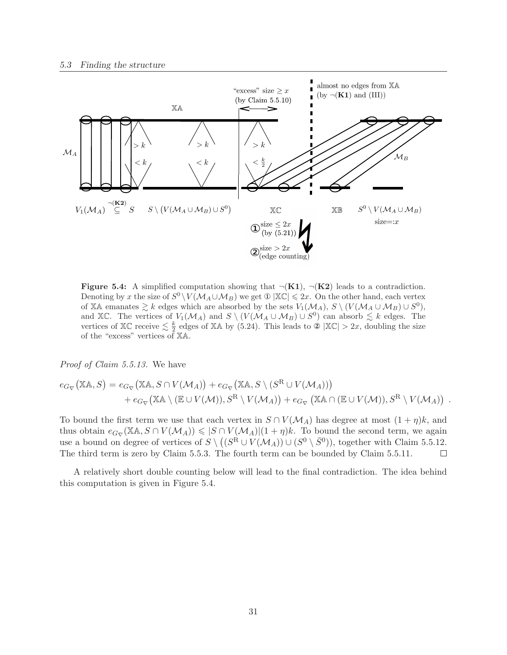

Figure 5.4: A simplified computation showing that  $\neg(K1)$ ,  $\neg(K2)$  leads to a contradiction. Denoting by x the size of  $S^0 \setminus V(\mathcal{M}_A \cup \mathcal{M}_B)$  we get  $\mathbb{O} |X\mathbb{C}| \leq 2x$ . On the other hand, each vertex of XA emanates  $\geq k$  edges which are absorbed by the sets  $V_1(\mathcal{M}_A)$ ,  $S \setminus (V(\mathcal{M}_A \cup \mathcal{M}_B) \cup S^0)$ , and XC. The vertices of  $V_1(\mathcal{M}_A)$  and  $S \setminus (V(\mathcal{M}_A \cup \mathcal{M}_B) \cup S^0)$  can absorb  $\lesssim k$  edges. The vertices of  $\mathbb{X}\mathbb{C}$  receive  $\leq \frac{k}{2}$  $\frac{k}{2}$  edges of XA by (5.24). This leads to  $\mathcal{D} |X\mathbb{C}| > 2x$ , doubling the size of the "excess" vertices of XA.

Proof of Claim 5.5.13. We have

$$
e_{G_{\nabla}}(\mathbb{X}\mathbb{A}, S) = e_{G_{\nabla}}(\mathbb{X}\mathbb{A}, S \cap V(\mathcal{M}_A)) + e_{G_{\nabla}}(\mathbb{X}\mathbb{A}, S \setminus (S^R \cup V(\mathcal{M}_A)))
$$
  
+ 
$$
e_{G_{\nabla}}(\mathbb{X}\mathbb{A} \setminus (\mathbb{E} \cup V(\mathcal{M})), S^R \setminus V(\mathcal{M}_A)) + e_{G_{\nabla}}(\mathbb{X}\mathbb{A} \cap (\mathbb{E} \cup V(\mathcal{M})), S^R \setminus V(\mathcal{M}_A)).
$$

To bound the first term we use that each vertex in  $S \cap V(\mathcal{M}_A)$  has degree at most  $(1 + \eta)k$ , and thus obtain  $e_{G_{\nabla}}(\mathbb{X}\mathbb{A}, S \cap V(\mathcal{M}_A)) \leqslant |S \cap V(\mathcal{M}_A)|(1 + \eta)k$ . To bound the second term, we again use a bound on degree of vertices of  $S \setminus ((S^R \cup V(\mathcal{M}_A)) \cup (S^0 \setminus \overline{S}^0))$ , together with Claim 5.5.12. The third term is zero by Claim 5.5.3. The fourth term can be bounded by Claim 5.5.11.  $\Box$ 

A relatively short double counting below will lead to the final contradiction. The idea behind this computation is given in Figure 5.4.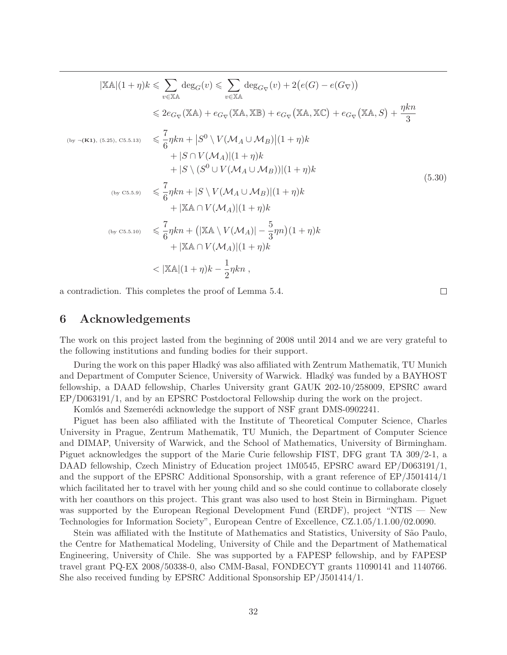$$
|\mathbb{X}\mathbb{A}|(1+\eta)k \leq \sum_{v \in \mathbb{X}\mathbb{A}} \deg_G(v) \leq \sum_{v \in \mathbb{X}\mathbb{A}} \deg_{G_{\nabla}}(v) + 2(e(G) - e(G_{\nabla}))
$$
  
\n
$$
\leq 2e_{G_{\nabla}}(\mathbb{X}\mathbb{A}) + e_{G_{\nabla}}(\mathbb{X}\mathbb{A}, \mathbb{X}\mathbb{B}) + e_{G_{\nabla}}(\mathbb{X}\mathbb{A}, \mathbb{X}\mathbb{C}) + e_{G_{\nabla}}(\mathbb{X}\mathbb{A}, S) + \frac{\eta kn}{3}
$$
  
\n
$$
\leq \frac{7}{6}\eta kn + |S^0 \setminus V(\mathcal{M}_A \cup \mathcal{M}_B)|(1+\eta)k + |S \setminus (S^0 \cup V(\mathcal{M}_A \cup \mathcal{M}_B))|(1+\eta)k + |S \setminus (S^0 \cup V(\mathcal{M}_A \cup \mathcal{M}_B))|(1+\eta)k + |S \setminus (S^0 \cup V(\mathcal{M}_A \cup \mathcal{M}_B))|(1+\eta)k + |\mathbb{X}\mathbb{A} \cap V(\mathcal{M}_A)|(1+\eta)k + |\mathbb{X}\mathbb{A} \cap V(\mathcal{M}_A)|(1+\eta)k + |\mathbb{X}\mathbb{A} \cap V(\mathcal{M}_A)|(1+\eta)k + |\mathbb{X}\mathbb{A} \cap V(\mathcal{M}_A)|(1+\eta)k + |\mathbb{X}\mathbb{A} \cap V(\mathcal{M}_A)|(1+\eta)k + |\mathbb{X}\mathbb{A} \cap V(\mathcal{M}_A)|(1+\eta)k - \frac{1}{2}\eta kn,
$$
\n(5.30)

a contradiction. This completes the proof of Lemma 5.4.

### 6 Acknowledgements

The work on this project lasted from the beginning of 2008 until 2014 and we are very grateful to the following institutions and funding bodies for their support.

 $\Box$ 

During the work on this paper Hladký was also affiliated with Zentrum Mathematik, TU Munich and Department of Computer Science, University of Warwick. Hladký was funded by a BAYHOST fellowship, a DAAD fellowship, Charles University grant GAUK 202-10/258009, EPSRC award EP/D063191/1, and by an EPSRC Postdoctoral Fellowship during the work on the project.

Komlós and Szemerédi acknowledge the support of NSF grant DMS-0902241.

Piguet has been also affiliated with the Institute of Theoretical Computer Science, Charles University in Prague, Zentrum Mathematik, TU Munich, the Department of Computer Science and DIMAP, University of Warwick, and the School of Mathematics, University of Birmingham. Piguet acknowledges the support of the Marie Curie fellowship FIST, DFG grant TA 309/2-1, a DAAD fellowship, Czech Ministry of Education project 1M0545, EPSRC award EP/D063191/1, and the support of the EPSRC Additional Sponsorship, with a grant reference of EP/J501414/1 which facilitated her to travel with her young child and so she could continue to collaborate closely with her coauthors on this project. This grant was also used to host Stein in Birmingham. Piguet was supported by the European Regional Development Fund (ERDF), project "NTIS — New Technologies for Information Society", European Centre of Excellence, CZ.1.05/1.1.00/02.0090.

Stein was affiliated with the Institute of Mathematics and Statistics, University of São Paulo, the Centre for Mathematical Modeling, University of Chile and the Department of Mathematical Engineering, University of Chile. She was supported by a FAPESP fellowship, and by FAPESP travel grant PQ-EX 2008/50338-0, also CMM-Basal, FONDECYT grants 11090141 and 1140766. She also received funding by EPSRC Additional Sponsorship EP/J501414/1.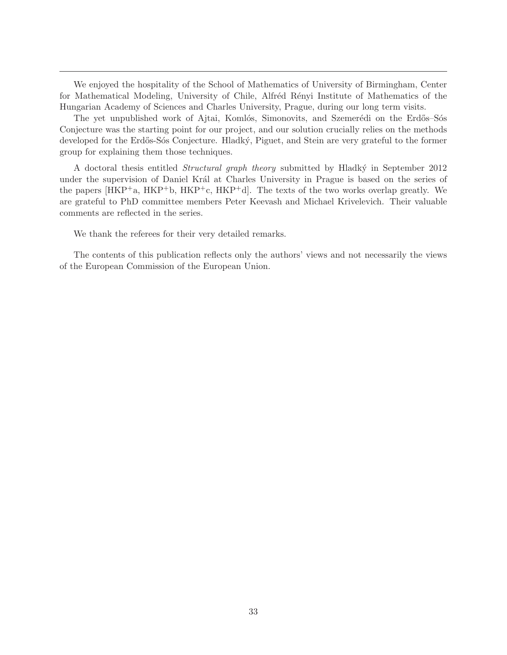We enjoyed the hospitality of the School of Mathematics of University of Birmingham, Center for Mathematical Modeling, University of Chile, Alfréd Rényi Institute of Mathematics of the Hungarian Academy of Sciences and Charles University, Prague, during our long term visits.

The yet unpublished work of Ajtai, Komlós, Simonovits, and Szemerédi on the Erdős–Sós Conjecture was the starting point for our project, and our solution crucially relies on the methods developed for the Erdős-Sós Conjecture. Hladký, Piguet, and Stein are very grateful to the former group for explaining them those techniques.

A doctoral thesis entitled *Structural graph theory* submitted by Hladký in September 2012 under the supervision of Daniel Král at Charles University in Prague is based on the series of the papers  $[HKP^+a, HKP^+b, HKP^+c, HKP^+d]$ . The texts of the two works overlap greatly. We are grateful to PhD committee members Peter Keevash and Michael Krivelevich. Their valuable comments are reflected in the series.

We thank the referees for their very detailed remarks.

The contents of this publication reflects only the authors' views and not necessarily the views of the European Commission of the European Union.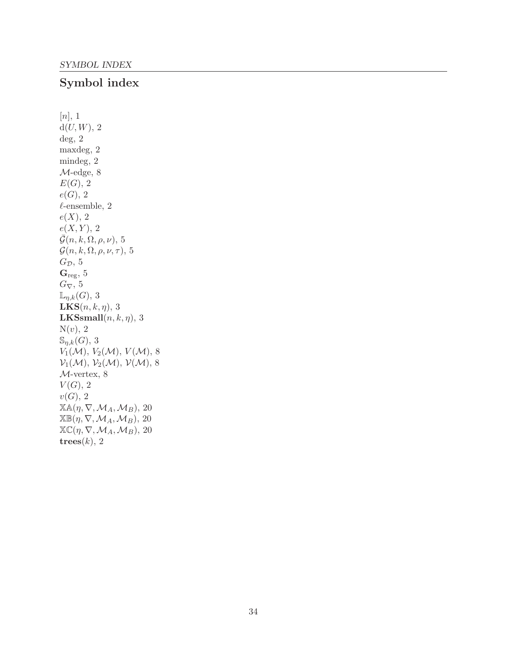# Symbol index

 $[n], 1$  $d(U, W)$ , 2 deg, 2 maxdeg, 2 mindeg, 2 M-edge, 8  $E(G)$ , 2  $e(G), 2$  $\ell$ -ensemble, 2  $e(X)$ , 2  $e(X, Y), 2$  $\bar{\mathcal{G}}(n, k, \Omega, \rho, \nu), 5$  $\mathcal{G}(n, k, \Omega, \rho, \nu, \tau)$ , 5  $G_{\mathcal{D}}$ , 5  $G_{reg}$ , 5  $G_{\nabla}$ , 5  $\mathbb{L}_{\eta,k}(G)$ , 3  $$ **LKSsmall** $(n, k, \eta)$ , 3  $N(v)$ , 2  $\mathbb{S}_{\eta,k}(G)$ , 3  $V_1(\mathcal{M}), V_2(\mathcal{M}), V(\mathcal{M}), 8$  $\mathcal{V}_1(\mathcal{M}), \mathcal{V}_2(\mathcal{M}), \mathcal{V}(\mathcal{M}), 8$ M-vertex, 8  $V(G)$ , 2  $v(G)$ , 2  $\mathbb{X}\mathbb{A}(\eta, \nabla, \mathcal{M}_A, \mathcal{M}_B)$ , 20  $\mathbb{X}\mathbb{B}(\eta,\nabla,\mathcal{M}_A,\mathcal{M}_B),$  20  $\mathbb{X}\mathbb{C}(\eta,\nabla,\mathcal{M}_A,\mathcal{M}_B),$  20 trees $(k)$ , 2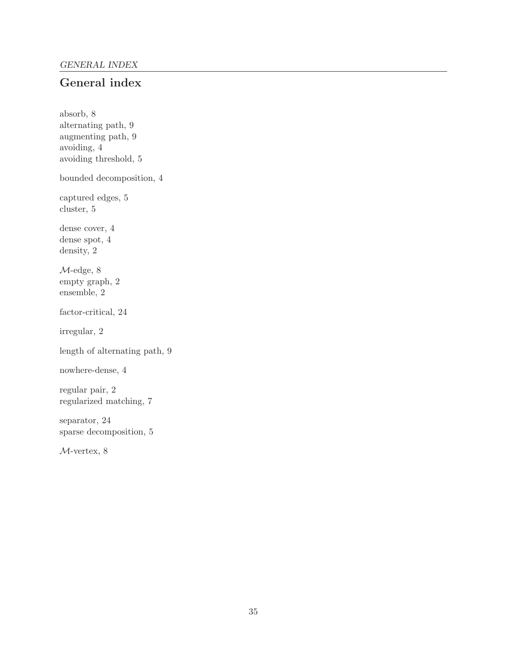# General index

absorb, 8 alternating path, 9 augmenting path, 9 avoiding, 4 avoiding threshold, 5 bounded decomposition, 4 captured edges, 5 cluster, 5 dense cover, 4 dense spot, 4 density, 2 M-edge, 8 empty graph, 2 ensemble, 2 factor-critical, 24 irregular, 2 length of alternating path, 9 nowhere-dense, 4 regular pair, 2 regularized matching, 7 separator, 24 sparse decomposition, 5

M-vertex, 8